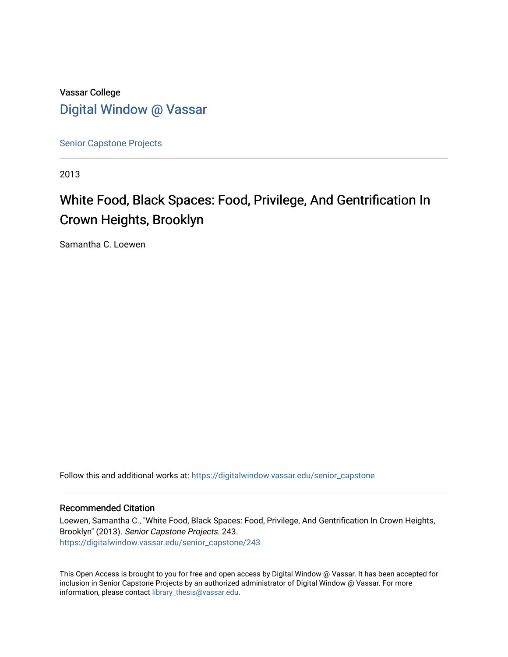## Vassar College [Digital Window @ Vassar](https://digitalwindow.vassar.edu/)

[Senior Capstone Projects](https://digitalwindow.vassar.edu/senior_capstone)

2013

# White Food, Black Spaces: Food, Privilege, And Gentrification In Crown Heights, Brooklyn

Samantha C. Loewen

Follow this and additional works at: [https://digitalwindow.vassar.edu/senior\\_capstone](https://digitalwindow.vassar.edu/senior_capstone?utm_source=digitalwindow.vassar.edu%2Fsenior_capstone%2F243&utm_medium=PDF&utm_campaign=PDFCoverPages) 

#### Recommended Citation

Loewen, Samantha C., "White Food, Black Spaces: Food, Privilege, And Gentrification In Crown Heights, Brooklyn" (2013). Senior Capstone Projects. 243. [https://digitalwindow.vassar.edu/senior\\_capstone/243](https://digitalwindow.vassar.edu/senior_capstone/243?utm_source=digitalwindow.vassar.edu%2Fsenior_capstone%2F243&utm_medium=PDF&utm_campaign=PDFCoverPages) 

This Open Access is brought to you for free and open access by Digital Window @ Vassar. It has been accepted for inclusion in Senior Capstone Projects by an authorized administrator of Digital Window @ Vassar. For more information, please contact [library\\_thesis@vassar.edu](mailto:library_thesis@vassar.edu).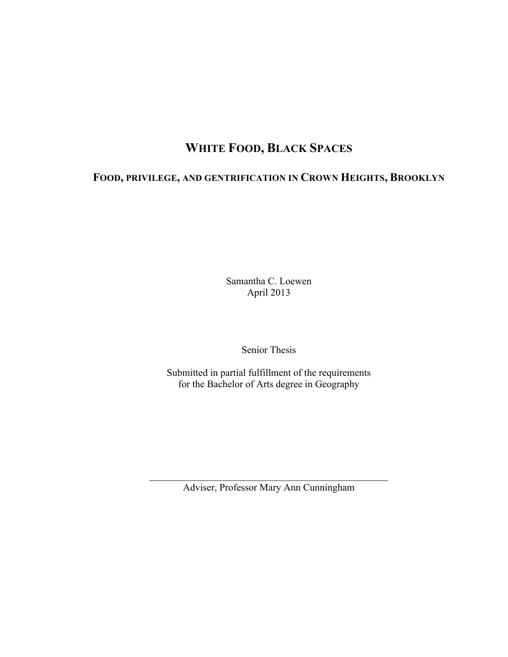## **WHITE FOOD, BLACK SPACES**

## **FOOD, PRIVILEGE, AND GENTRIFICATION IN CROWN HEIGHTS, BROOKLYN**

Samantha C. Loewen April 2013

Senior Thesis

Submitted in partial fulfillment of the requirements for the Bachelor of Arts degree in Geography

 $\mathcal{L}_\text{max}$  , and the set of the set of the set of the set of the set of the set of the set of the set of the set of the set of the set of the set of the set of the set of the set of the set of the set of the set of the Adviser, Professor Mary Ann Cunningham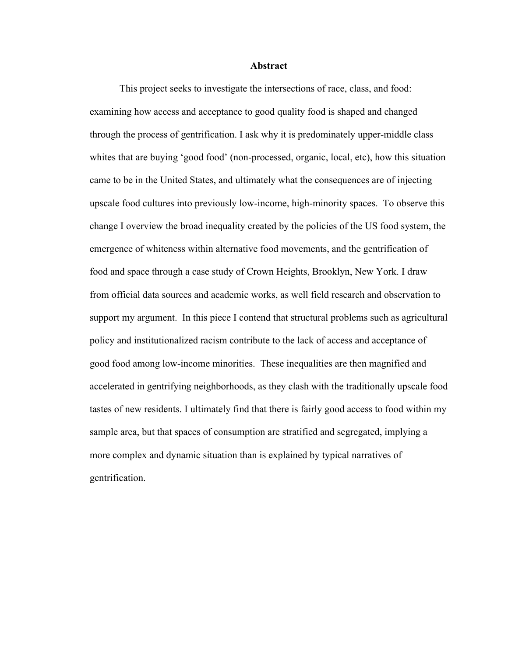#### **Abstract**

This project seeks to investigate the intersections of race, class, and food: examining how access and acceptance to good quality food is shaped and changed through the process of gentrification. I ask why it is predominately upper-middle class whites that are buying 'good food' (non-processed, organic, local, etc), how this situation came to be in the United States, and ultimately what the consequences are of injecting upscale food cultures into previously low-income, high-minority spaces. To observe this change I overview the broad inequality created by the policies of the US food system, the emergence of whiteness within alternative food movements, and the gentrification of food and space through a case study of Crown Heights, Brooklyn, New York. I draw from official data sources and academic works, as well field research and observation to support my argument. In this piece I contend that structural problems such as agricultural policy and institutionalized racism contribute to the lack of access and acceptance of good food among low-income minorities. These inequalities are then magnified and accelerated in gentrifying neighborhoods, as they clash with the traditionally upscale food tastes of new residents. I ultimately find that there is fairly good access to food within my sample area, but that spaces of consumption are stratified and segregated, implying a more complex and dynamic situation than is explained by typical narratives of gentrification.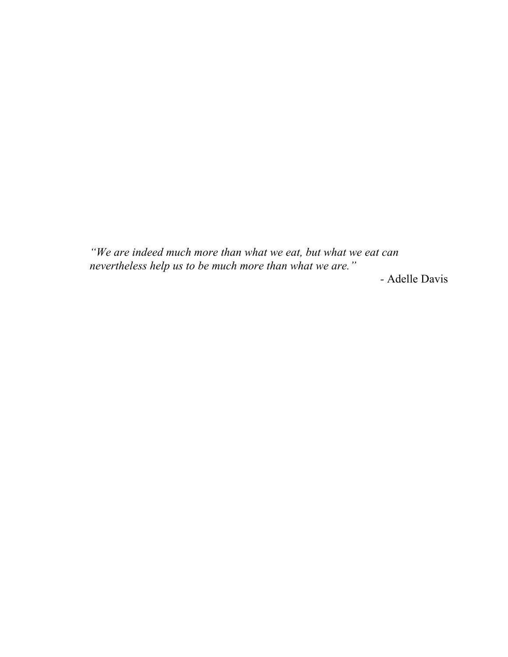*"We are indeed much more than what we eat, but what we eat can nevertheless help us to be much more than what we are."*

*-* Adelle Davis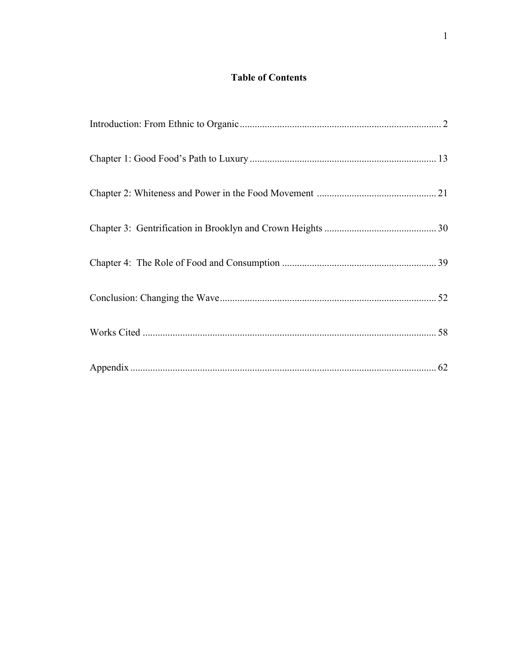#### **Table of Contents**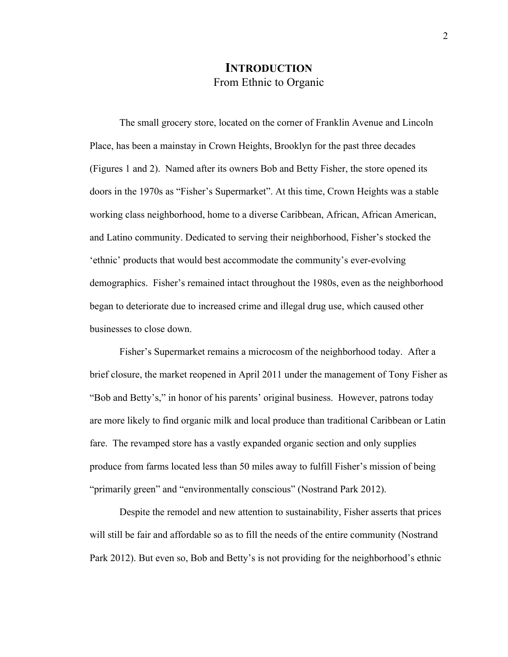#### **INTRODUCTION** From Ethnic to Organic

The small grocery store, located on the corner of Franklin Avenue and Lincoln Place, has been a mainstay in Crown Heights, Brooklyn for the past three decades (Figures 1 and 2). Named after its owners Bob and Betty Fisher, the store opened its doors in the 1970s as "Fisher's Supermarket". At this time, Crown Heights was a stable working class neighborhood, home to a diverse Caribbean, African, African American, and Latino community. Dedicated to serving their neighborhood, Fisher's stocked the 'ethnic' products that would best accommodate the community's ever-evolving demographics. Fisher's remained intact throughout the 1980s, even as the neighborhood began to deteriorate due to increased crime and illegal drug use, which caused other businesses to close down.

Fisher's Supermarket remains a microcosm of the neighborhood today. After a brief closure, the market reopened in April 2011 under the management of Tony Fisher as "Bob and Betty's," in honor of his parents' original business. However, patrons today are more likely to find organic milk and local produce than traditional Caribbean or Latin fare. The revamped store has a vastly expanded organic section and only supplies produce from farms located less than 50 miles away to fulfill Fisher's mission of being "primarily green" and "environmentally conscious" (Nostrand Park 2012).

Despite the remodel and new attention to sustainability, Fisher asserts that prices will still be fair and affordable so as to fill the needs of the entire community (Nostrand Park 2012). But even so, Bob and Betty's is not providing for the neighborhood's ethnic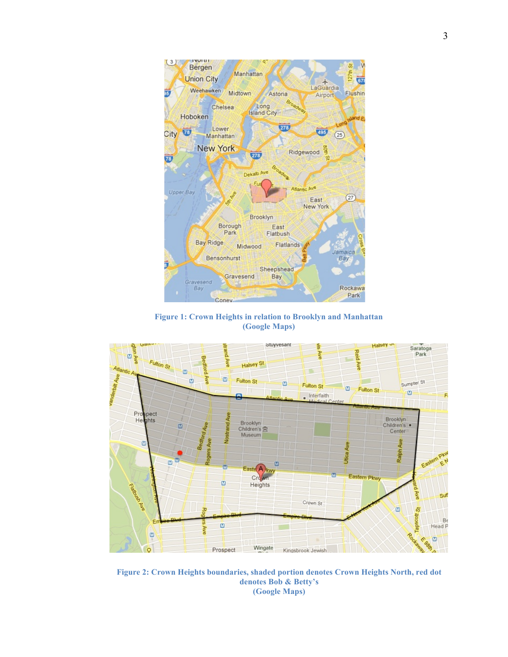

**Figure 1: Crown Heights in relation to Brooklyn and Manhattan (Google Maps)**



**Figure 2: Crown Heights boundaries, shaded portion denotes Crown Heights North, red dot denotes Bob & Betty's (Google Maps)**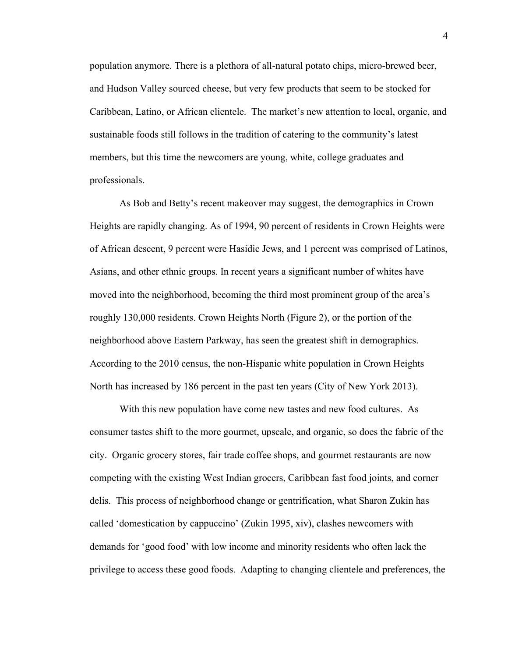population anymore. There is a plethora of all-natural potato chips, micro-brewed beer, and Hudson Valley sourced cheese, but very few products that seem to be stocked for Caribbean, Latino, or African clientele. The market's new attention to local, organic, and sustainable foods still follows in the tradition of catering to the community's latest members, but this time the newcomers are young, white, college graduates and professionals.

As Bob and Betty's recent makeover may suggest, the demographics in Crown Heights are rapidly changing. As of 1994, 90 percent of residents in Crown Heights were of African descent, 9 percent were Hasidic Jews, and 1 percent was comprised of Latinos, Asians, and other ethnic groups. In recent years a significant number of whites have moved into the neighborhood, becoming the third most prominent group of the area's roughly 130,000 residents. Crown Heights North (Figure 2), or the portion of the neighborhood above Eastern Parkway, has seen the greatest shift in demographics. According to the 2010 census, the non-Hispanic white population in Crown Heights North has increased by 186 percent in the past ten years (City of New York 2013).

With this new population have come new tastes and new food cultures. As consumer tastes shift to the more gourmet, upscale, and organic, so does the fabric of the city. Organic grocery stores, fair trade coffee shops, and gourmet restaurants are now competing with the existing West Indian grocers, Caribbean fast food joints, and corner delis. This process of neighborhood change or gentrification, what Sharon Zukin has called 'domestication by cappuccino' (Zukin 1995, xiv), clashes newcomers with demands for 'good food' with low income and minority residents who often lack the privilege to access these good foods. Adapting to changing clientele and preferences, the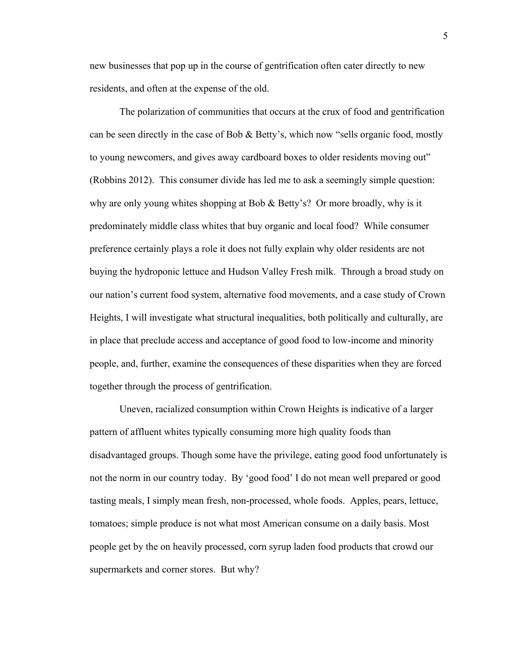new businesses that pop up in the course of gentrification often cater directly to new residents, and often at the expense of the old.

The polarization of communities that occurs at the crux of food and gentrification can be seen directly in the case of Bob & Betty's, which now "sells organic food, mostly to young newcomers, and gives away cardboard boxes to older residents moving out" (Robbins 2012). This consumer divide has led me to ask a seemingly simple question: why are only young whites shopping at Bob & Betty's? Or more broadly, why is it predominately middle class whites that buy organic and local food? While consumer preference certainly plays a role it does not fully explain why older residents are not buying the hydroponic lettuce and Hudson Valley Fresh milk. Through a broad study on our nation's current food system, alternative food movements, and a case study of Crown Heights, I will investigate what structural inequalities, both politically and culturally, are in place that preclude access and acceptance of good food to low-income and minority people, and, further, examine the consequences of these disparities when they are forced together through the process of gentrification.

Uneven, racialized consumption within Crown Heights is indicative of a larger pattern of affluent whites typically consuming more high quality foods than disadvantaged groups. Though some have the privilege, eating good food unfortunately is not the norm in our country today. By 'good food' I do not mean well prepared or good tasting meals, I simply mean fresh, non-processed, whole foods. Apples, pears, lettuce, tomatoes; simple produce is not what most American consume on a daily basis. Most people get by the on heavily processed, corn syrup laden food products that crowd our supermarkets and corner stores. But why?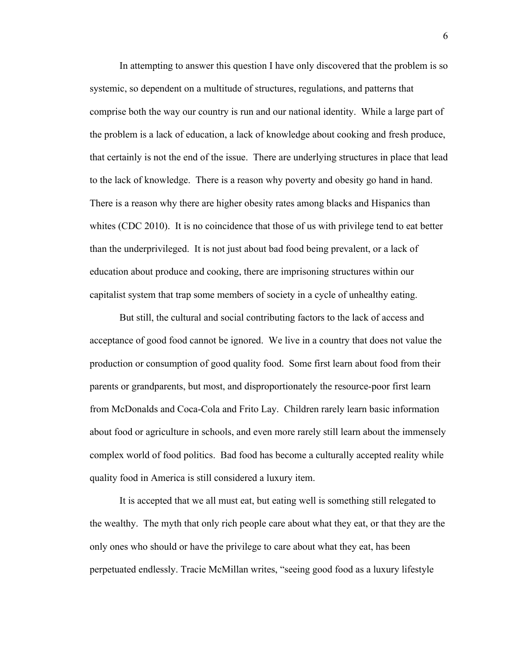In attempting to answer this question I have only discovered that the problem is so systemic, so dependent on a multitude of structures, regulations, and patterns that comprise both the way our country is run and our national identity. While a large part of the problem is a lack of education, a lack of knowledge about cooking and fresh produce, that certainly is not the end of the issue. There are underlying structures in place that lead to the lack of knowledge. There is a reason why poverty and obesity go hand in hand. There is a reason why there are higher obesity rates among blacks and Hispanics than whites (CDC 2010). It is no coincidence that those of us with privilege tend to eat better than the underprivileged. It is not just about bad food being prevalent, or a lack of education about produce and cooking, there are imprisoning structures within our capitalist system that trap some members of society in a cycle of unhealthy eating.

But still, the cultural and social contributing factors to the lack of access and acceptance of good food cannot be ignored. We live in a country that does not value the production or consumption of good quality food. Some first learn about food from their parents or grandparents, but most, and disproportionately the resource-poor first learn from McDonalds and Coca-Cola and Frito Lay. Children rarely learn basic information about food or agriculture in schools, and even more rarely still learn about the immensely complex world of food politics. Bad food has become a culturally accepted reality while quality food in America is still considered a luxury item.

It is accepted that we all must eat, but eating well is something still relegated to the wealthy. The myth that only rich people care about what they eat, or that they are the only ones who should or have the privilege to care about what they eat, has been perpetuated endlessly. Tracie McMillan writes, "seeing good food as a luxury lifestyle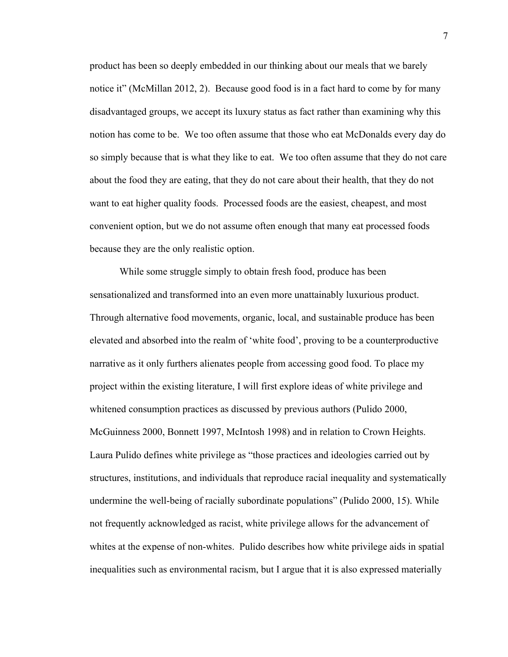product has been so deeply embedded in our thinking about our meals that we barely notice it" (McMillan 2012, 2). Because good food is in a fact hard to come by for many disadvantaged groups, we accept its luxury status as fact rather than examining why this notion has come to be. We too often assume that those who eat McDonalds every day do so simply because that is what they like to eat. We too often assume that they do not care about the food they are eating, that they do not care about their health, that they do not want to eat higher quality foods. Processed foods are the easiest, cheapest, and most convenient option, but we do not assume often enough that many eat processed foods because they are the only realistic option.

While some struggle simply to obtain fresh food, produce has been sensationalized and transformed into an even more unattainably luxurious product. Through alternative food movements, organic, local, and sustainable produce has been elevated and absorbed into the realm of 'white food', proving to be a counterproductive narrative as it only furthers alienates people from accessing good food. To place my project within the existing literature, I will first explore ideas of white privilege and whitened consumption practices as discussed by previous authors (Pulido 2000, McGuinness 2000, Bonnett 1997, McIntosh 1998) and in relation to Crown Heights. Laura Pulido defines white privilege as "those practices and ideologies carried out by structures, institutions, and individuals that reproduce racial inequality and systematically undermine the well-being of racially subordinate populations" (Pulido 2000, 15). While not frequently acknowledged as racist, white privilege allows for the advancement of whites at the expense of non-whites. Pulido describes how white privilege aids in spatial inequalities such as environmental racism, but I argue that it is also expressed materially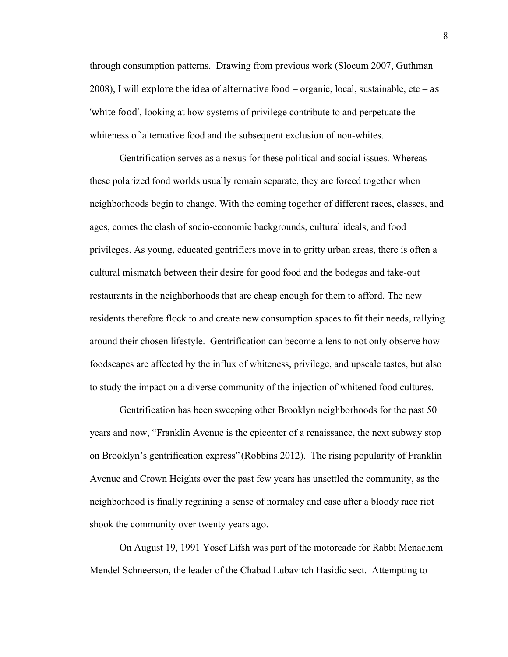through consumption patterns. Drawing from previous work (Slocum 2007, Guthman 2008), I will explore the idea of alternative food – organic, local, sustainable, etc – as 'white food', looking at how systems of privilege contribute to and perpetuate the whiteness of alternative food and the subsequent exclusion of non-whites.

Gentrification serves as a nexus for these political and social issues. Whereas these polarized food worlds usually remain separate, they are forced together when neighborhoods begin to change. With the coming together of different races, classes, and ages, comes the clash of socio-economic backgrounds, cultural ideals, and food privileges. As young, educated gentrifiers move in to gritty urban areas, there is often a cultural mismatch between their desire for good food and the bodegas and take-out restaurants in the neighborhoods that are cheap enough for them to afford. The new residents therefore flock to and create new consumption spaces to fit their needs, rallying around their chosen lifestyle. Gentrification can become a lens to not only observe how foodscapes are affected by the influx of whiteness, privilege, and upscale tastes, but also to study the impact on a diverse community of the injection of whitened food cultures.

Gentrification has been sweeping other Brooklyn neighborhoods for the past 50 years and now, "Franklin Avenue is the epicenter of a renaissance, the next subway stop on Brooklyn's gentrification express" (Robbins 2012). The rising popularity of Franklin Avenue and Crown Heights over the past few years has unsettled the community, as the neighborhood is finally regaining a sense of normalcy and ease after a bloody race riot shook the community over twenty years ago.

On August 19, 1991 Yosef Lifsh was part of the motorcade for Rabbi Menachem Mendel Schneerson, the leader of the Chabad Lubavitch Hasidic sect. Attempting to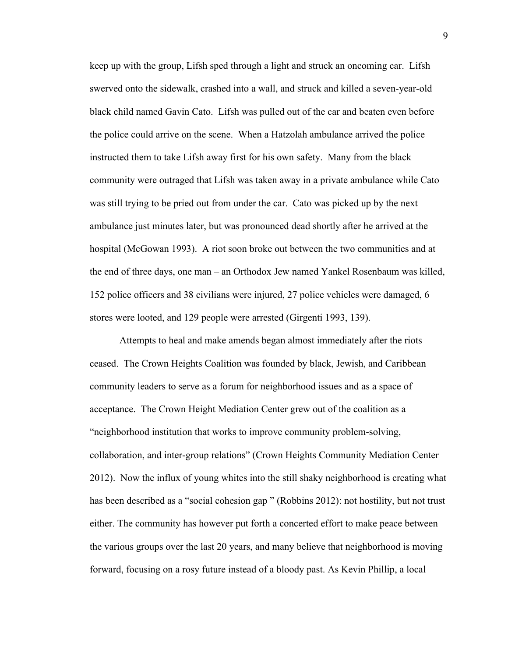keep up with the group, Lifsh sped through a light and struck an oncoming car. Lifsh swerved onto the sidewalk, crashed into a wall, and struck and killed a seven-year-old black child named Gavin Cato. Lifsh was pulled out of the car and beaten even before the police could arrive on the scene. When a Hatzolah ambulance arrived the police instructed them to take Lifsh away first for his own safety. Many from the black community were outraged that Lifsh was taken away in a private ambulance while Cato was still trying to be pried out from under the car. Cato was picked up by the next ambulance just minutes later, but was pronounced dead shortly after he arrived at the hospital (McGowan 1993). A riot soon broke out between the two communities and at the end of three days, one man – an Orthodox Jew named Yankel Rosenbaum was killed, 152 police officers and 38 civilians were injured, 27 police vehicles were damaged, 6 stores were looted, and 129 people were arrested (Girgenti 1993, 139).

Attempts to heal and make amends began almost immediately after the riots ceased. The Crown Heights Coalition was founded by black, Jewish, and Caribbean community leaders to serve as a forum for neighborhood issues and as a space of acceptance. The Crown Height Mediation Center grew out of the coalition as a "neighborhood institution that works to improve community problem-solving, collaboration, and inter-group relations" (Crown Heights Community Mediation Center 2012). Now the influx of young whites into the still shaky neighborhood is creating what has been described as a "social cohesion gap" (Robbins 2012): not hostility, but not trust either. The community has however put forth a concerted effort to make peace between the various groups over the last 20 years, and many believe that neighborhood is moving forward, focusing on a rosy future instead of a bloody past. As Kevin Phillip, a local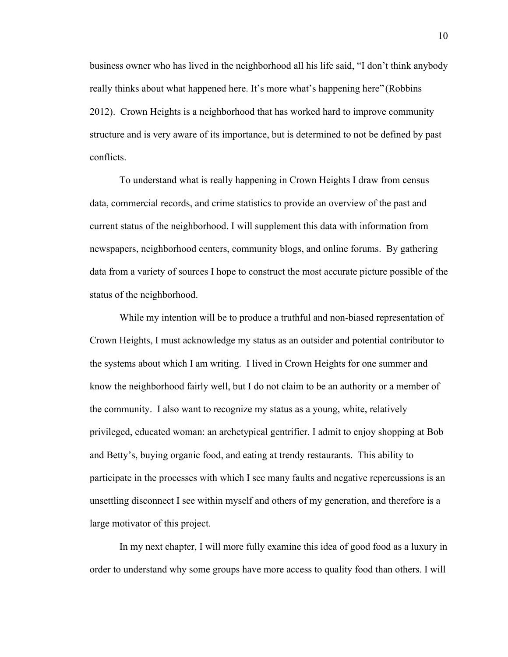business owner who has lived in the neighborhood all his life said, "I don't think anybody really thinks about what happened here. It's more what's happening here" (Robbins 2012). Crown Heights is a neighborhood that has worked hard to improve community structure and is very aware of its importance, but is determined to not be defined by past conflicts.

To understand what is really happening in Crown Heights I draw from census data, commercial records, and crime statistics to provide an overview of the past and current status of the neighborhood. I will supplement this data with information from newspapers, neighborhood centers, community blogs, and online forums. By gathering data from a variety of sources I hope to construct the most accurate picture possible of the status of the neighborhood.

While my intention will be to produce a truthful and non-biased representation of Crown Heights, I must acknowledge my status as an outsider and potential contributor to the systems about which I am writing. I lived in Crown Heights for one summer and know the neighborhood fairly well, but I do not claim to be an authority or a member of the community. I also want to recognize my status as a young, white, relatively privileged, educated woman: an archetypical gentrifier. I admit to enjoy shopping at Bob and Betty's, buying organic food, and eating at trendy restaurants. This ability to participate in the processes with which I see many faults and negative repercussions is an unsettling disconnect I see within myself and others of my generation, and therefore is a large motivator of this project.

In my next chapter, I will more fully examine this idea of good food as a luxury in order to understand why some groups have more access to quality food than others. I will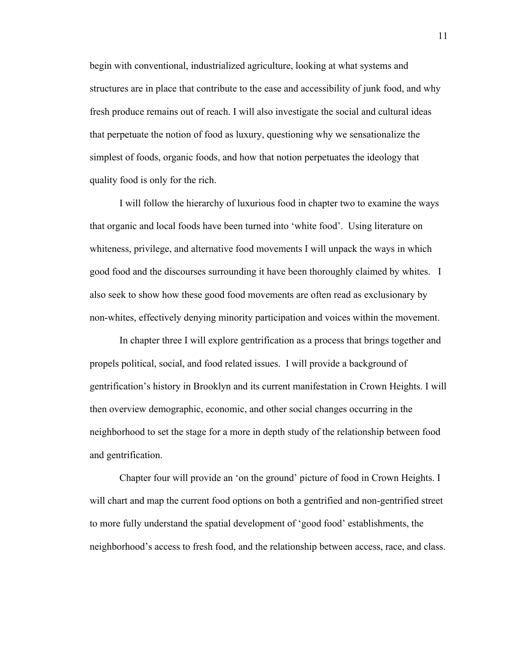begin with conventional, industrialized agriculture, looking at what systems and structures are in place that contribute to the ease and accessibility of junk food, and why fresh produce remains out of reach. I will also investigate the social and cultural ideas that perpetuate the notion of food as luxury, questioning why we sensationalize the simplest of foods, organic foods, and how that notion perpetuates the ideology that quality food is only for the rich.

I will follow the hierarchy of luxurious food in chapter two to examine the ways that organic and local foods have been turned into 'white food'. Using literature on whiteness, privilege, and alternative food movements I will unpack the ways in which good food and the discourses surrounding it have been thoroughly claimed by whites. I also seek to show how these good food movements are often read as exclusionary by non-whites, effectively denying minority participation and voices within the movement.

In chapter three I will explore gentrification as a process that brings together and propels political, social, and food related issues. I will provide a background of gentrification's history in Brooklyn and its current manifestation in Crown Heights. I will then overview demographic, economic, and other social changes occurring in the neighborhood to set the stage for a more in depth study of the relationship between food and gentrification.

Chapter four will provide an 'on the ground' picture of food in Crown Heights. I will chart and map the current food options on both a gentrified and non-gentrified street to more fully understand the spatial development of 'good food' establishments, the neighborhood's access to fresh food, and the relationship between access, race, and class.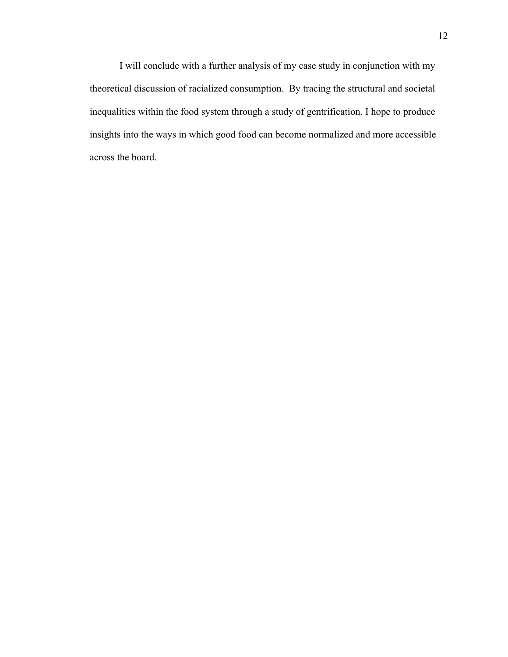I will conclude with a further analysis of my case study in conjunction with my theoretical discussion of racialized consumption. By tracing the structural and societal inequalities within the food system through a study of gentrification, I hope to produce insights into the ways in which good food can become normalized and more accessible across the board.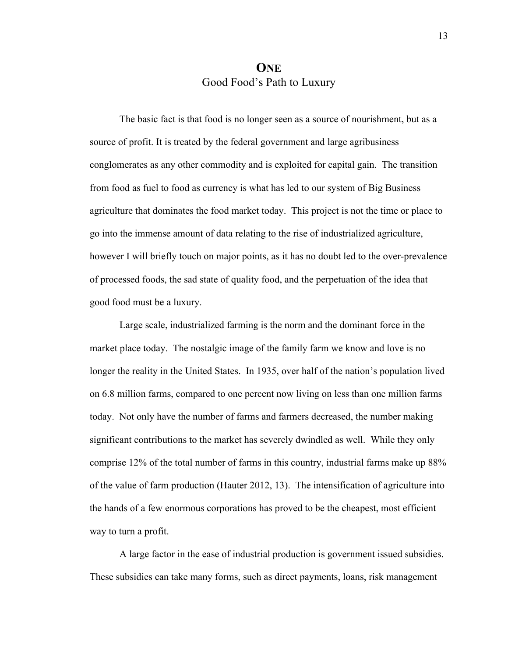## **ONE** Good Food's Path to Luxury

The basic fact is that food is no longer seen as a source of nourishment, but as a source of profit. It is treated by the federal government and large agribusiness conglomerates as any other commodity and is exploited for capital gain. The transition from food as fuel to food as currency is what has led to our system of Big Business agriculture that dominates the food market today. This project is not the time or place to go into the immense amount of data relating to the rise of industrialized agriculture, however I will briefly touch on major points, as it has no doubt led to the over-prevalence of processed foods, the sad state of quality food, and the perpetuation of the idea that good food must be a luxury.

Large scale, industrialized farming is the norm and the dominant force in the market place today. The nostalgic image of the family farm we know and love is no longer the reality in the United States. In 1935, over half of the nation's population lived on 6.8 million farms, compared to one percent now living on less than one million farms today. Not only have the number of farms and farmers decreased, the number making significant contributions to the market has severely dwindled as well. While they only comprise 12% of the total number of farms in this country, industrial farms make up 88% of the value of farm production (Hauter 2012, 13). The intensification of agriculture into the hands of a few enormous corporations has proved to be the cheapest, most efficient way to turn a profit.

A large factor in the ease of industrial production is government issued subsidies. These subsidies can take many forms, such as direct payments, loans, risk management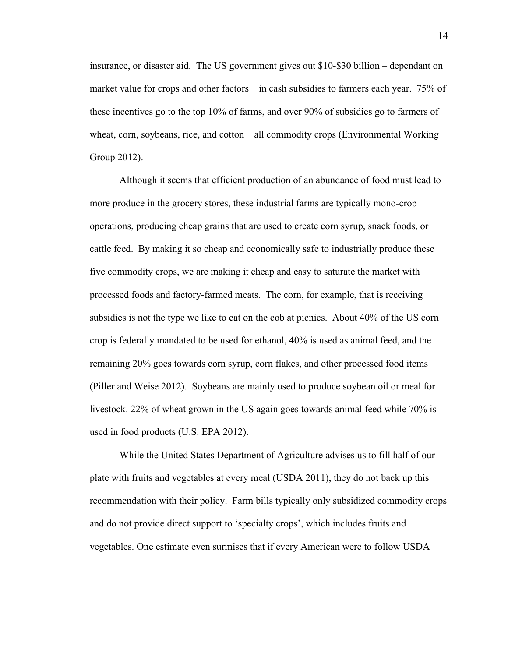insurance, or disaster aid. The US government gives out \$10-\$30 billion – dependant on market value for crops and other factors – in cash subsidies to farmers each year. 75% of these incentives go to the top 10% of farms, and over 90% of subsidies go to farmers of wheat, corn, soybeans, rice, and cotton – all commodity crops (Environmental Working Group 2012).

Although it seems that efficient production of an abundance of food must lead to more produce in the grocery stores, these industrial farms are typically mono-crop operations, producing cheap grains that are used to create corn syrup, snack foods, or cattle feed. By making it so cheap and economically safe to industrially produce these five commodity crops, we are making it cheap and easy to saturate the market with processed foods and factory-farmed meats. The corn, for example, that is receiving subsidies is not the type we like to eat on the cob at picnics. About 40% of the US corn crop is federally mandated to be used for ethanol, 40% is used as animal feed, and the remaining 20% goes towards corn syrup, corn flakes, and other processed food items (Piller and Weise 2012). Soybeans are mainly used to produce soybean oil or meal for livestock. 22% of wheat grown in the US again goes towards animal feed while 70% is used in food products (U.S. EPA 2012).

While the United States Department of Agriculture advises us to fill half of our plate with fruits and vegetables at every meal (USDA 2011), they do not back up this recommendation with their policy. Farm bills typically only subsidized commodity crops and do not provide direct support to 'specialty crops', which includes fruits and vegetables. One estimate even surmises that if every American were to follow USDA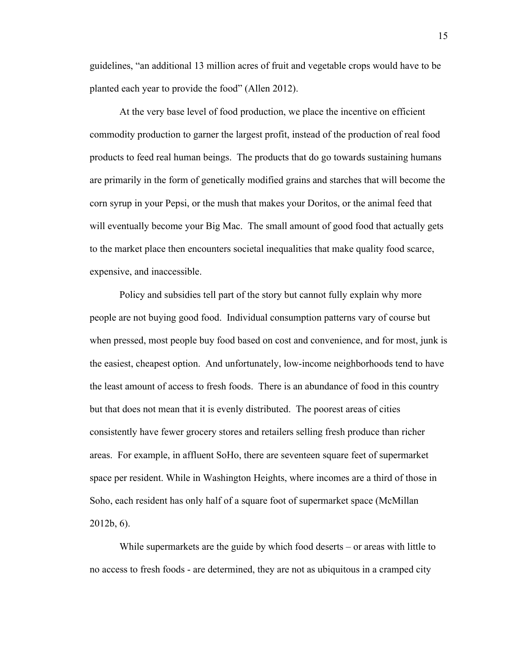guidelines, "an additional 13 million acres of fruit and vegetable crops would have to be planted each year to provide the food" (Allen 2012).

At the very base level of food production, we place the incentive on efficient commodity production to garner the largest profit, instead of the production of real food products to feed real human beings. The products that do go towards sustaining humans are primarily in the form of genetically modified grains and starches that will become the corn syrup in your Pepsi, or the mush that makes your Doritos, or the animal feed that will eventually become your Big Mac. The small amount of good food that actually gets to the market place then encounters societal inequalities that make quality food scarce, expensive, and inaccessible.

Policy and subsidies tell part of the story but cannot fully explain why more people are not buying good food. Individual consumption patterns vary of course but when pressed, most people buy food based on cost and convenience, and for most, junk is the easiest, cheapest option. And unfortunately, low-income neighborhoods tend to have the least amount of access to fresh foods. There is an abundance of food in this country but that does not mean that it is evenly distributed. The poorest areas of cities consistently have fewer grocery stores and retailers selling fresh produce than richer areas. For example, in affluent SoHo, there are seventeen square feet of supermarket space per resident. While in Washington Heights, where incomes are a third of those in Soho, each resident has only half of a square foot of supermarket space (McMillan 2012b, 6).

While supermarkets are the guide by which food deserts – or areas with little to no access to fresh foods - are determined, they are not as ubiquitous in a cramped city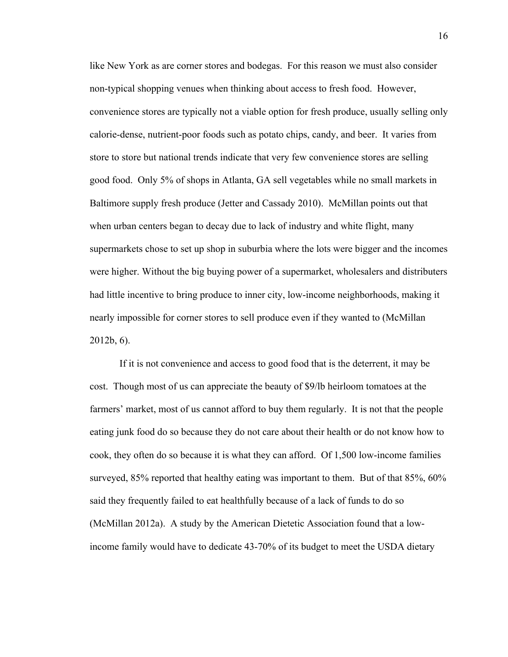like New York as are corner stores and bodegas. For this reason we must also consider non-typical shopping venues when thinking about access to fresh food. However, convenience stores are typically not a viable option for fresh produce, usually selling only calorie-dense, nutrient-poor foods such as potato chips, candy, and beer. It varies from store to store but national trends indicate that very few convenience stores are selling good food. Only 5% of shops in Atlanta, GA sell vegetables while no small markets in Baltimore supply fresh produce (Jetter and Cassady 2010). McMillan points out that when urban centers began to decay due to lack of industry and white flight, many supermarkets chose to set up shop in suburbia where the lots were bigger and the incomes were higher. Without the big buying power of a supermarket, wholesalers and distributers had little incentive to bring produce to inner city, low-income neighborhoods, making it nearly impossible for corner stores to sell produce even if they wanted to (McMillan 2012b, 6).

If it is not convenience and access to good food that is the deterrent, it may be cost. Though most of us can appreciate the beauty of \$9/lb heirloom tomatoes at the farmers' market, most of us cannot afford to buy them regularly. It is not that the people eating junk food do so because they do not care about their health or do not know how to cook, they often do so because it is what they can afford. Of 1,500 low-income families surveyed, 85% reported that healthy eating was important to them. But of that 85%, 60% said they frequently failed to eat healthfully because of a lack of funds to do so (McMillan 2012a). A study by the American Dietetic Association found that a lowincome family would have to dedicate 43-70% of its budget to meet the USDA dietary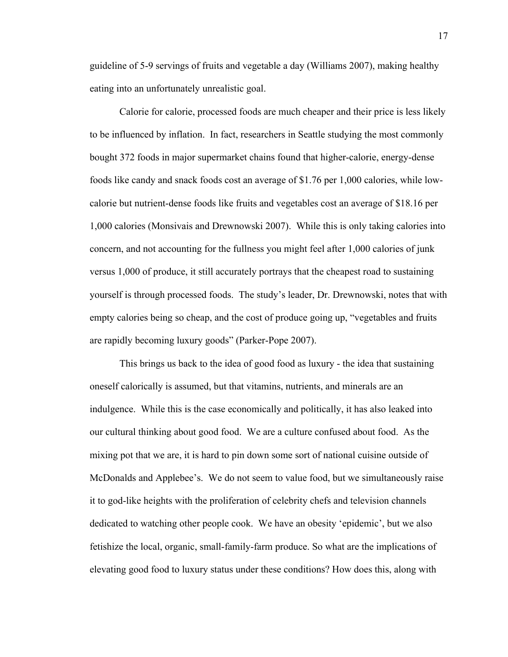guideline of 5-9 servings of fruits and vegetable a day (Williams 2007), making healthy eating into an unfortunately unrealistic goal.

Calorie for calorie, processed foods are much cheaper and their price is less likely to be influenced by inflation. In fact, researchers in Seattle studying the most commonly bought 372 foods in major supermarket chains found that higher-calorie, energy-dense foods like candy and snack foods cost an average of \$1.76 per 1,000 calories, while lowcalorie but nutrient-dense foods like fruits and vegetables cost an average of \$18.16 per 1,000 calories (Monsivais and Drewnowski 2007). While this is only taking calories into concern, and not accounting for the fullness you might feel after 1,000 calories of junk versus 1,000 of produce, it still accurately portrays that the cheapest road to sustaining yourself is through processed foods. The study's leader, Dr. Drewnowski, notes that with empty calories being so cheap, and the cost of produce going up, "vegetables and fruits are rapidly becoming luxury goods" (Parker-Pope 2007).

This brings us back to the idea of good food as luxury - the idea that sustaining oneself calorically is assumed, but that vitamins, nutrients, and minerals are an indulgence. While this is the case economically and politically, it has also leaked into our cultural thinking about good food. We are a culture confused about food. As the mixing pot that we are, it is hard to pin down some sort of national cuisine outside of McDonalds and Applebee's. We do not seem to value food, but we simultaneously raise it to god-like heights with the proliferation of celebrity chefs and television channels dedicated to watching other people cook. We have an obesity 'epidemic', but we also fetishize the local, organic, small-family-farm produce. So what are the implications of elevating good food to luxury status under these conditions? How does this, along with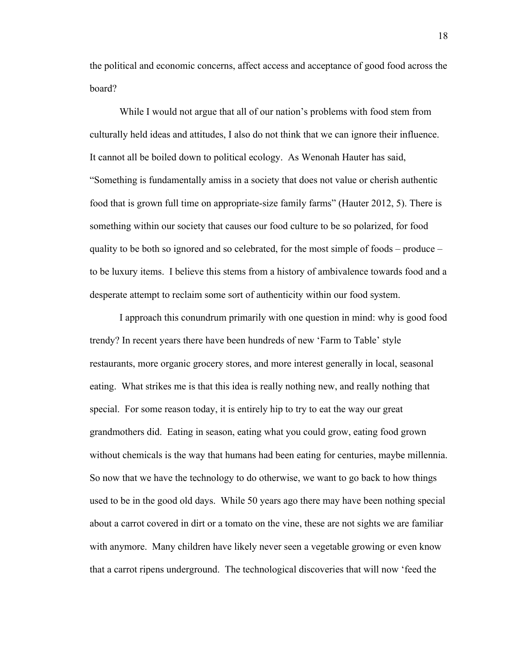the political and economic concerns, affect access and acceptance of good food across the board?

While I would not argue that all of our nation's problems with food stem from culturally held ideas and attitudes, I also do not think that we can ignore their influence. It cannot all be boiled down to political ecology. As Wenonah Hauter has said, "Something is fundamentally amiss in a society that does not value or cherish authentic food that is grown full time on appropriate-size family farms" (Hauter 2012, 5). There is something within our society that causes our food culture to be so polarized, for food quality to be both so ignored and so celebrated, for the most simple of foods – produce – to be luxury items. I believe this stems from a history of ambivalence towards food and a desperate attempt to reclaim some sort of authenticity within our food system.

I approach this conundrum primarily with one question in mind: why is good food trendy? In recent years there have been hundreds of new 'Farm to Table' style restaurants, more organic grocery stores, and more interest generally in local, seasonal eating. What strikes me is that this idea is really nothing new, and really nothing that special. For some reason today, it is entirely hip to try to eat the way our great grandmothers did. Eating in season, eating what you could grow, eating food grown without chemicals is the way that humans had been eating for centuries, maybe millennia. So now that we have the technology to do otherwise, we want to go back to how things used to be in the good old days. While 50 years ago there may have been nothing special about a carrot covered in dirt or a tomato on the vine, these are not sights we are familiar with anymore. Many children have likely never seen a vegetable growing or even know that a carrot ripens underground. The technological discoveries that will now 'feed the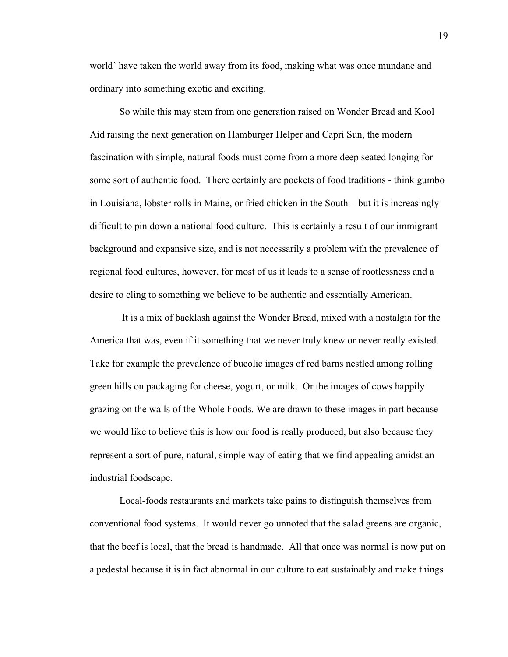world' have taken the world away from its food, making what was once mundane and ordinary into something exotic and exciting.

So while this may stem from one generation raised on Wonder Bread and Kool Aid raising the next generation on Hamburger Helper and Capri Sun, the modern fascination with simple, natural foods must come from a more deep seated longing for some sort of authentic food. There certainly are pockets of food traditions - think gumbo in Louisiana, lobster rolls in Maine, or fried chicken in the South – but it is increasingly difficult to pin down a national food culture. This is certainly a result of our immigrant background and expansive size, and is not necessarily a problem with the prevalence of regional food cultures, however, for most of us it leads to a sense of rootlessness and a desire to cling to something we believe to be authentic and essentially American.

 It is a mix of backlash against the Wonder Bread, mixed with a nostalgia for the America that was, even if it something that we never truly knew or never really existed. Take for example the prevalence of bucolic images of red barns nestled among rolling green hills on packaging for cheese, yogurt, or milk. Or the images of cows happily grazing on the walls of the Whole Foods. We are drawn to these images in part because we would like to believe this is how our food is really produced, but also because they represent a sort of pure, natural, simple way of eating that we find appealing amidst an industrial foodscape.

Local-foods restaurants and markets take pains to distinguish themselves from conventional food systems. It would never go unnoted that the salad greens are organic, that the beef is local, that the bread is handmade. All that once was normal is now put on a pedestal because it is in fact abnormal in our culture to eat sustainably and make things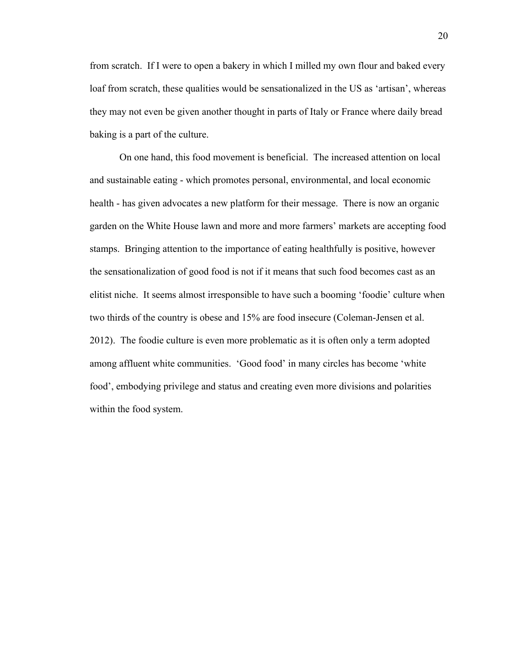from scratch. If I were to open a bakery in which I milled my own flour and baked every loaf from scratch, these qualities would be sensationalized in the US as 'artisan', whereas they may not even be given another thought in parts of Italy or France where daily bread baking is a part of the culture.

On one hand, this food movement is beneficial. The increased attention on local and sustainable eating - which promotes personal, environmental, and local economic health - has given advocates a new platform for their message. There is now an organic garden on the White House lawn and more and more farmers' markets are accepting food stamps. Bringing attention to the importance of eating healthfully is positive, however the sensationalization of good food is not if it means that such food becomes cast as an elitist niche. It seems almost irresponsible to have such a booming 'foodie' culture when two thirds of the country is obese and 15% are food insecure (Coleman-Jensen et al. 2012). The foodie culture is even more problematic as it is often only a term adopted among affluent white communities. 'Good food' in many circles has become 'white food', embodying privilege and status and creating even more divisions and polarities within the food system.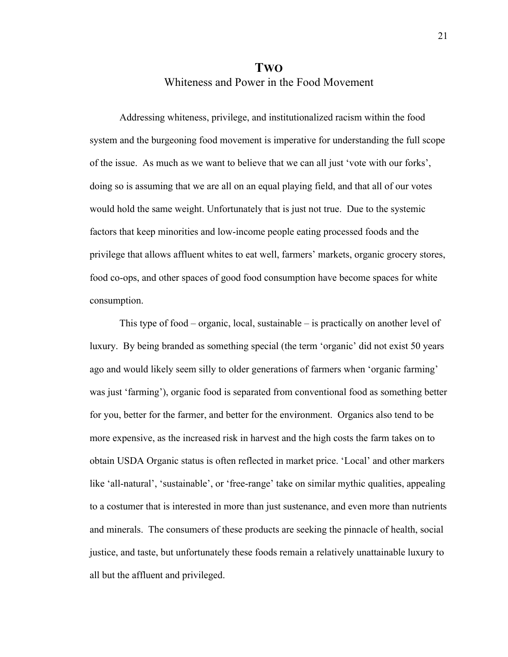#### **TWO** Whiteness and Power in the Food Movement

Addressing whiteness, privilege, and institutionalized racism within the food system and the burgeoning food movement is imperative for understanding the full scope of the issue. As much as we want to believe that we can all just 'vote with our forks', doing so is assuming that we are all on an equal playing field, and that all of our votes would hold the same weight. Unfortunately that is just not true. Due to the systemic factors that keep minorities and low-income people eating processed foods and the privilege that allows affluent whites to eat well, farmers' markets, organic grocery stores, food co-ops, and other spaces of good food consumption have become spaces for white consumption.

This type of food – organic, local, sustainable – is practically on another level of luxury. By being branded as something special (the term 'organic' did not exist 50 years ago and would likely seem silly to older generations of farmers when 'organic farming' was just 'farming'), organic food is separated from conventional food as something better for you, better for the farmer, and better for the environment. Organics also tend to be more expensive, as the increased risk in harvest and the high costs the farm takes on to obtain USDA Organic status is often reflected in market price. 'Local' and other markers like 'all-natural', 'sustainable', or 'free-range' take on similar mythic qualities, appealing to a costumer that is interested in more than just sustenance, and even more than nutrients and minerals. The consumers of these products are seeking the pinnacle of health, social justice, and taste, but unfortunately these foods remain a relatively unattainable luxury to all but the affluent and privileged.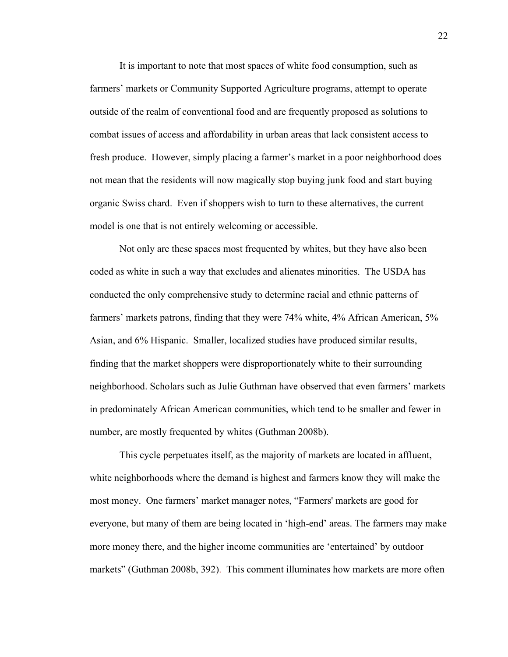It is important to note that most spaces of white food consumption, such as farmers' markets or Community Supported Agriculture programs, attempt to operate outside of the realm of conventional food and are frequently proposed as solutions to combat issues of access and affordability in urban areas that lack consistent access to fresh produce. However, simply placing a farmer's market in a poor neighborhood does not mean that the residents will now magically stop buying junk food and start buying organic Swiss chard. Even if shoppers wish to turn to these alternatives, the current model is one that is not entirely welcoming or accessible.

Not only are these spaces most frequented by whites, but they have also been coded as white in such a way that excludes and alienates minorities. The USDA has conducted the only comprehensive study to determine racial and ethnic patterns of farmers' markets patrons, finding that they were 74% white, 4% African American, 5% Asian, and 6% Hispanic. Smaller, localized studies have produced similar results, finding that the market shoppers were disproportionately white to their surrounding neighborhood. Scholars such as Julie Guthman have observed that even farmers' markets in predominately African American communities, which tend to be smaller and fewer in number, are mostly frequented by whites (Guthman 2008b).

This cycle perpetuates itself, as the majority of markets are located in affluent, white neighborhoods where the demand is highest and farmers know they will make the most money. One farmers' market manager notes, "Farmers' markets are good for everyone, but many of them are being located in 'high-end' areas. The farmers may make more money there, and the higher income communities are 'entertained' by outdoor markets" (Guthman 2008b, 392). This comment illuminates how markets are more often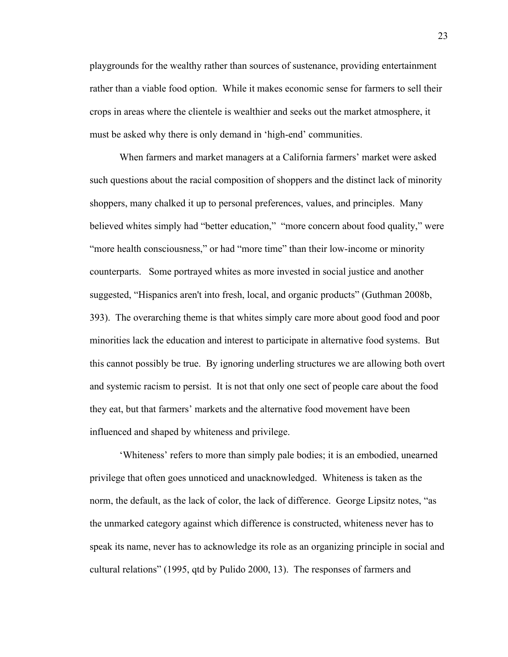playgrounds for the wealthy rather than sources of sustenance, providing entertainment rather than a viable food option. While it makes economic sense for farmers to sell their crops in areas where the clientele is wealthier and seeks out the market atmosphere, it must be asked why there is only demand in 'high-end' communities.

When farmers and market managers at a California farmers' market were asked such questions about the racial composition of shoppers and the distinct lack of minority shoppers, many chalked it up to personal preferences, values, and principles. Many believed whites simply had "better education," "more concern about food quality," were "more health consciousness," or had "more time" than their low-income or minority counterparts. Some portrayed whites as more invested in social justice and another suggested, "Hispanics aren't into fresh, local, and organic products" (Guthman 2008b, 393). The overarching theme is that whites simply care more about good food and poor minorities lack the education and interest to participate in alternative food systems. But this cannot possibly be true. By ignoring underling structures we are allowing both overt and systemic racism to persist. It is not that only one sect of people care about the food they eat, but that farmers' markets and the alternative food movement have been influenced and shaped by whiteness and privilege.

'Whiteness' refers to more than simply pale bodies; it is an embodied, unearned privilege that often goes unnoticed and unacknowledged. Whiteness is taken as the norm, the default, as the lack of color, the lack of difference. George Lipsitz notes, "as the unmarked category against which difference is constructed, whiteness never has to speak its name, never has to acknowledge its role as an organizing principle in social and cultural relations" (1995, qtd by Pulido 2000, 13). The responses of farmers and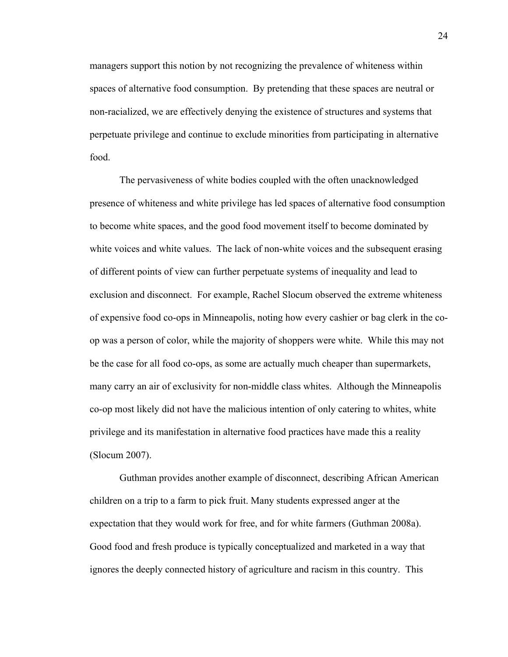managers support this notion by not recognizing the prevalence of whiteness within spaces of alternative food consumption. By pretending that these spaces are neutral or non-racialized, we are effectively denying the existence of structures and systems that perpetuate privilege and continue to exclude minorities from participating in alternative food.

The pervasiveness of white bodies coupled with the often unacknowledged presence of whiteness and white privilege has led spaces of alternative food consumption to become white spaces, and the good food movement itself to become dominated by white voices and white values. The lack of non-white voices and the subsequent erasing of different points of view can further perpetuate systems of inequality and lead to exclusion and disconnect. For example, Rachel Slocum observed the extreme whiteness of expensive food co-ops in Minneapolis, noting how every cashier or bag clerk in the coop was a person of color, while the majority of shoppers were white. While this may not be the case for all food co-ops, as some are actually much cheaper than supermarkets, many carry an air of exclusivity for non-middle class whites. Although the Minneapolis co-op most likely did not have the malicious intention of only catering to whites, white privilege and its manifestation in alternative food practices have made this a reality (Slocum 2007).

Guthman provides another example of disconnect, describing African American children on a trip to a farm to pick fruit. Many students expressed anger at the expectation that they would work for free, and for white farmers (Guthman 2008a). Good food and fresh produce is typically conceptualized and marketed in a way that ignores the deeply connected history of agriculture and racism in this country. This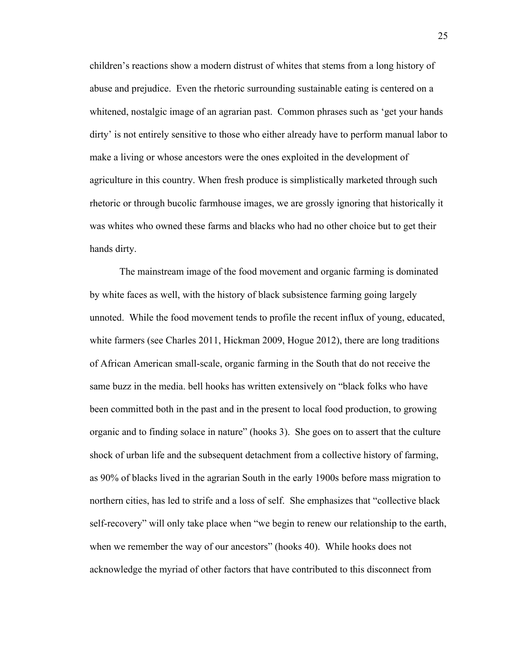children's reactions show a modern distrust of whites that stems from a long history of abuse and prejudice. Even the rhetoric surrounding sustainable eating is centered on a whitened, nostalgic image of an agrarian past. Common phrases such as 'get your hands dirty' is not entirely sensitive to those who either already have to perform manual labor to make a living or whose ancestors were the ones exploited in the development of agriculture in this country. When fresh produce is simplistically marketed through such rhetoric or through bucolic farmhouse images, we are grossly ignoring that historically it was whites who owned these farms and blacks who had no other choice but to get their hands dirty.

The mainstream image of the food movement and organic farming is dominated by white faces as well, with the history of black subsistence farming going largely unnoted. While the food movement tends to profile the recent influx of young, educated, white farmers (see Charles 2011, Hickman 2009, Hogue 2012), there are long traditions of African American small-scale, organic farming in the South that do not receive the same buzz in the media. bell hooks has written extensively on "black folks who have been committed both in the past and in the present to local food production, to growing organic and to finding solace in nature" (hooks 3). She goes on to assert that the culture shock of urban life and the subsequent detachment from a collective history of farming, as 90% of blacks lived in the agrarian South in the early 1900s before mass migration to northern cities, has led to strife and a loss of self. She emphasizes that "collective black self-recovery" will only take place when "we begin to renew our relationship to the earth, when we remember the way of our ancestors" (hooks 40). While hooks does not acknowledge the myriad of other factors that have contributed to this disconnect from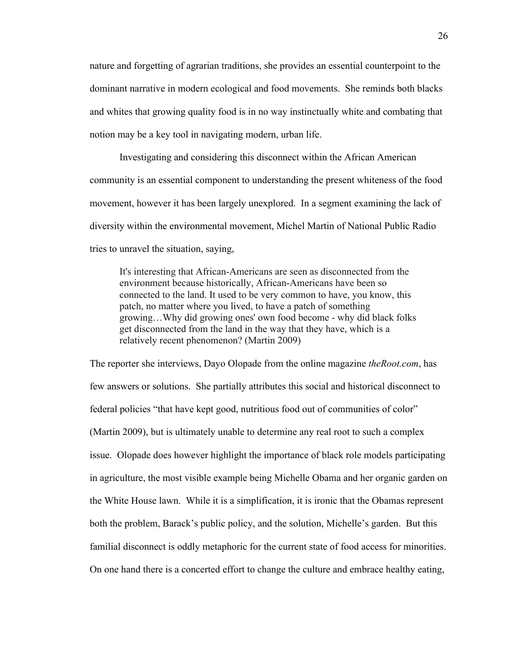nature and forgetting of agrarian traditions, she provides an essential counterpoint to the dominant narrative in modern ecological and food movements. She reminds both blacks and whites that growing quality food is in no way instinctually white and combating that notion may be a key tool in navigating modern, urban life.

Investigating and considering this disconnect within the African American community is an essential component to understanding the present whiteness of the food movement, however it has been largely unexplored. In a segment examining the lack of diversity within the environmental movement, Michel Martin of National Public Radio tries to unravel the situation, saying,

It's interesting that African-Americans are seen as disconnected from the environment because historically, African-Americans have been so connected to the land. It used to be very common to have, you know, this patch, no matter where you lived, to have a patch of something growing…Why did growing ones' own food become - why did black folks get disconnected from the land in the way that they have, which is a relatively recent phenomenon? (Martin 2009)

The reporter she interviews, Dayo Olopade from the online magazine *theRoot.com*, has few answers or solutions. She partially attributes this social and historical disconnect to federal policies "that have kept good, nutritious food out of communities of color" (Martin 2009), but is ultimately unable to determine any real root to such a complex issue. Olopade does however highlight the importance of black role models participating in agriculture, the most visible example being Michelle Obama and her organic garden on the White House lawn. While it is a simplification, it is ironic that the Obamas represent both the problem, Barack's public policy, and the solution, Michelle's garden. But this familial disconnect is oddly metaphoric for the current state of food access for minorities. On one hand there is a concerted effort to change the culture and embrace healthy eating,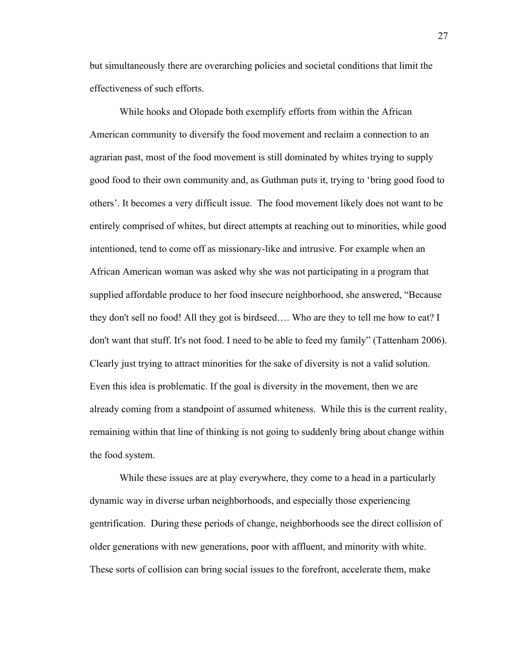but simultaneously there are overarching policies and societal conditions that limit the effectiveness of such efforts.

While hooks and Olopade both exemplify efforts from within the African American community to diversify the food movement and reclaim a connection to an agrarian past, most of the food movement is still dominated by whites trying to supply good food to their own community and, as Guthman puts it, trying to 'bring good food to others'. It becomes a very difficult issue. The food movement likely does not want to be entirely comprised of whites, but direct attempts at reaching out to minorities, while good intentioned, tend to come off as missionary-like and intrusive. For example when an African American woman was asked why she was not participating in a program that supplied affordable produce to her food insecure neighborhood, she answered, "Because they don't sell no food! All they got is birdseed…. Who are they to tell me how to eat? I don't want that stuff. It's not food. I need to be able to feed my family" (Tattenham 2006). Clearly just trying to attract minorities for the sake of diversity is not a valid solution. Even this idea is problematic. If the goal is diversity in the movement, then we are already coming from a standpoint of assumed whiteness. While this is the current reality, remaining within that line of thinking is not going to suddenly bring about change within the food system.

While these issues are at play everywhere, they come to a head in a particularly dynamic way in diverse urban neighborhoods, and especially those experiencing gentrification. During these periods of change, neighborhoods see the direct collision of older generations with new generations, poor with affluent, and minority with white. These sorts of collision can bring social issues to the forefront, accelerate them, make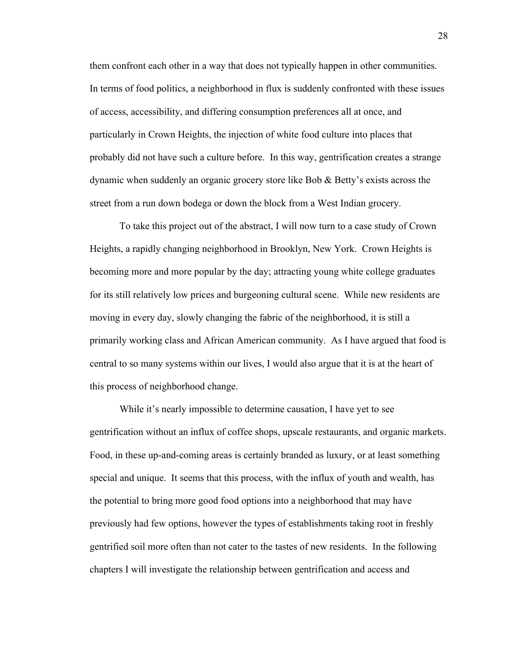them confront each other in a way that does not typically happen in other communities. In terms of food politics, a neighborhood in flux is suddenly confronted with these issues of access, accessibility, and differing consumption preferences all at once, and particularly in Crown Heights, the injection of white food culture into places that probably did not have such a culture before. In this way, gentrification creates a strange dynamic when suddenly an organic grocery store like Bob & Betty's exists across the street from a run down bodega or down the block from a West Indian grocery.

To take this project out of the abstract, I will now turn to a case study of Crown Heights, a rapidly changing neighborhood in Brooklyn, New York. Crown Heights is becoming more and more popular by the day; attracting young white college graduates for its still relatively low prices and burgeoning cultural scene. While new residents are moving in every day, slowly changing the fabric of the neighborhood, it is still a primarily working class and African American community. As I have argued that food is central to so many systems within our lives, I would also argue that it is at the heart of this process of neighborhood change.

While it's nearly impossible to determine causation. I have yet to see gentrification without an influx of coffee shops, upscale restaurants, and organic markets. Food, in these up-and-coming areas is certainly branded as luxury, or at least something special and unique. It seems that this process, with the influx of youth and wealth, has the potential to bring more good food options into a neighborhood that may have previously had few options, however the types of establishments taking root in freshly gentrified soil more often than not cater to the tastes of new residents. In the following chapters I will investigate the relationship between gentrification and access and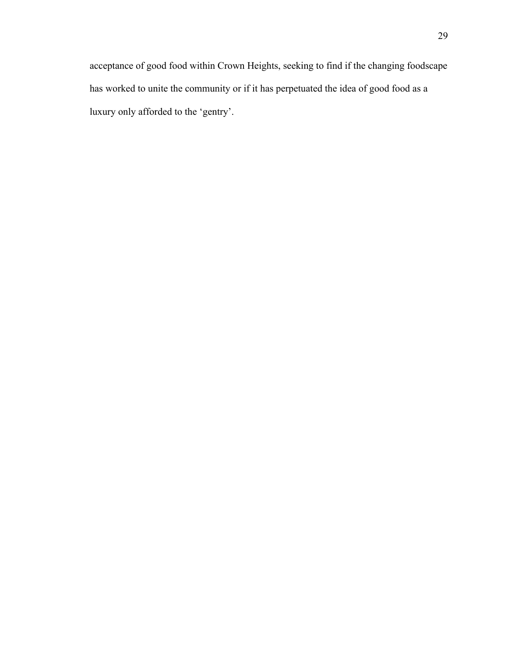acceptance of good food within Crown Heights, seeking to find if the changing foodscape has worked to unite the community or if it has perpetuated the idea of good food as a luxury only afforded to the 'gentry'.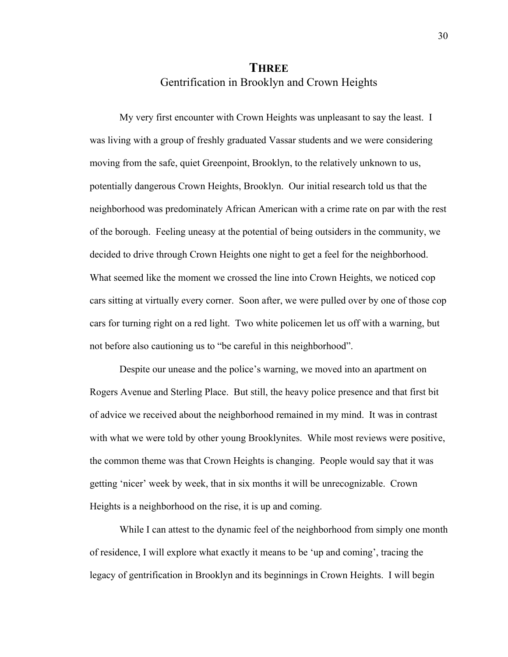### **THREE**  Gentrification in Brooklyn and Crown Heights

My very first encounter with Crown Heights was unpleasant to say the least. I was living with a group of freshly graduated Vassar students and we were considering moving from the safe, quiet Greenpoint, Brooklyn, to the relatively unknown to us, potentially dangerous Crown Heights, Brooklyn. Our initial research told us that the neighborhood was predominately African American with a crime rate on par with the rest of the borough. Feeling uneasy at the potential of being outsiders in the community, we decided to drive through Crown Heights one night to get a feel for the neighborhood. What seemed like the moment we crossed the line into Crown Heights, we noticed cop cars sitting at virtually every corner. Soon after, we were pulled over by one of those cop cars for turning right on a red light. Two white policemen let us off with a warning, but not before also cautioning us to "be careful in this neighborhood".

Despite our unease and the police's warning, we moved into an apartment on Rogers Avenue and Sterling Place. But still, the heavy police presence and that first bit of advice we received about the neighborhood remained in my mind. It was in contrast with what we were told by other young Brooklynites. While most reviews were positive, the common theme was that Crown Heights is changing. People would say that it was getting 'nicer' week by week, that in six months it will be unrecognizable. Crown Heights is a neighborhood on the rise, it is up and coming.

While I can attest to the dynamic feel of the neighborhood from simply one month of residence, I will explore what exactly it means to be 'up and coming', tracing the legacy of gentrification in Brooklyn and its beginnings in Crown Heights. I will begin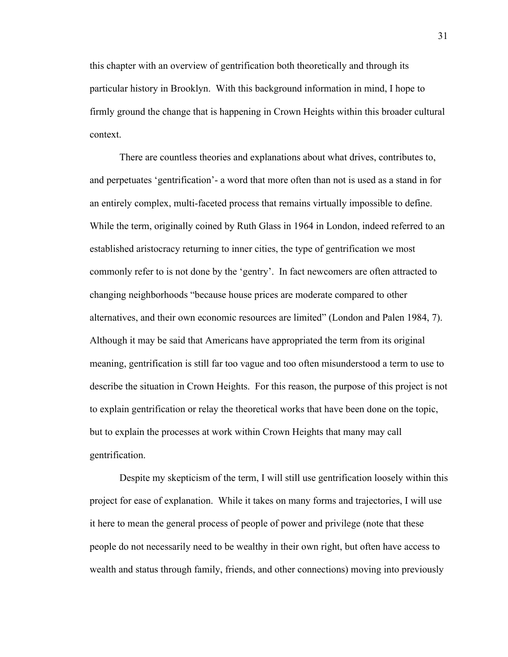this chapter with an overview of gentrification both theoretically and through its particular history in Brooklyn. With this background information in mind, I hope to firmly ground the change that is happening in Crown Heights within this broader cultural context.

There are countless theories and explanations about what drives, contributes to, and perpetuates 'gentrification'- a word that more often than not is used as a stand in for an entirely complex, multi-faceted process that remains virtually impossible to define. While the term, originally coined by Ruth Glass in 1964 in London, indeed referred to an established aristocracy returning to inner cities, the type of gentrification we most commonly refer to is not done by the 'gentry'. In fact newcomers are often attracted to changing neighborhoods "because house prices are moderate compared to other alternatives, and their own economic resources are limited" (London and Palen 1984, 7). Although it may be said that Americans have appropriated the term from its original meaning, gentrification is still far too vague and too often misunderstood a term to use to describe the situation in Crown Heights. For this reason, the purpose of this project is not to explain gentrification or relay the theoretical works that have been done on the topic, but to explain the processes at work within Crown Heights that many may call gentrification.

Despite my skepticism of the term, I will still use gentrification loosely within this project for ease of explanation. While it takes on many forms and trajectories, I will use it here to mean the general process of people of power and privilege (note that these people do not necessarily need to be wealthy in their own right, but often have access to wealth and status through family, friends, and other connections) moving into previously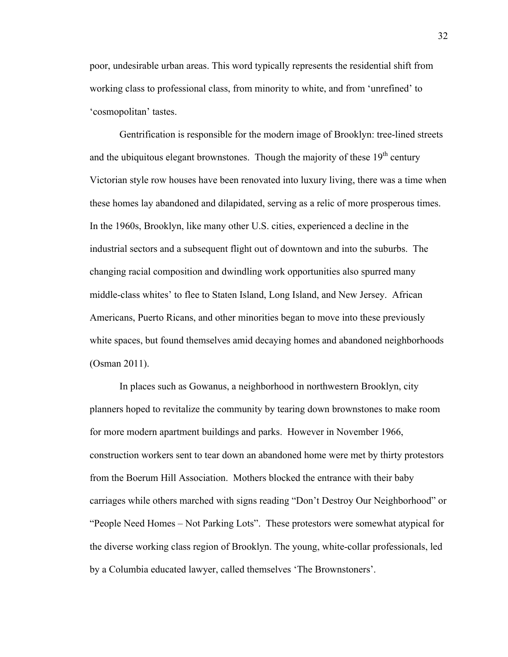poor, undesirable urban areas. This word typically represents the residential shift from working class to professional class, from minority to white, and from 'unrefined' to 'cosmopolitan' tastes.

Gentrification is responsible for the modern image of Brooklyn: tree-lined streets and the ubiquitous elegant brownstones. Though the majority of these  $19<sup>th</sup>$  century Victorian style row houses have been renovated into luxury living, there was a time when these homes lay abandoned and dilapidated, serving as a relic of more prosperous times. In the 1960s, Brooklyn, like many other U.S. cities, experienced a decline in the industrial sectors and a subsequent flight out of downtown and into the suburbs. The changing racial composition and dwindling work opportunities also spurred many middle-class whites' to flee to Staten Island, Long Island, and New Jersey. African Americans, Puerto Ricans, and other minorities began to move into these previously white spaces, but found themselves amid decaying homes and abandoned neighborhoods (Osman 2011).

In places such as Gowanus, a neighborhood in northwestern Brooklyn, city planners hoped to revitalize the community by tearing down brownstones to make room for more modern apartment buildings and parks. However in November 1966, construction workers sent to tear down an abandoned home were met by thirty protestors from the Boerum Hill Association. Mothers blocked the entrance with their baby carriages while others marched with signs reading "Don't Destroy Our Neighborhood" or "People Need Homes – Not Parking Lots". These protestors were somewhat atypical for the diverse working class region of Brooklyn. The young, white-collar professionals, led by a Columbia educated lawyer, called themselves 'The Brownstoners'.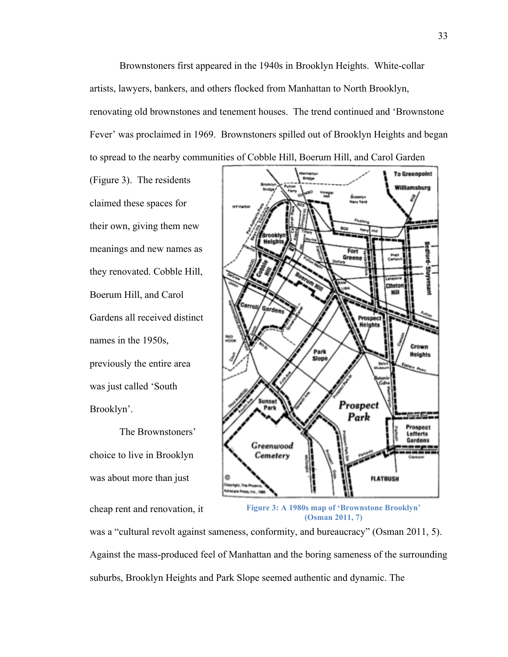Brownstoners first appeared in the 1940s in Brooklyn Heights. White-collar artists, lawyers, bankers, and others flocked from Manhattan to North Brooklyn, renovating old brownstones and tenement houses. The trend continued and 'Brownstone Fever' was proclaimed in 1969. Brownstoners spilled out of Brooklyn Heights and began to spread to the nearby communities of Cobble Hill, Boerum Hill, and Carol Garden

(Figure 3). The residents claimed these spaces for their own, giving them new meanings and new names as they renovated. Cobble Hill, Boerum Hill, and Carol Gardens all received distinct names in the 1950s, previously the entire area was just called 'South Brooklyn'.

The Brownstoners' choice to live in Brooklyn was about more than just

cheap rent and renovation, it



**Figure 3: A 1980s map of 'Brownstone Brooklyn' (Osman 2011, 7)**

was a "cultural revolt against sameness, conformity, and bureaucracy" (Osman 2011, 5). Against the mass-produced feel of Manhattan and the boring sameness of the surrounding suburbs, Brooklyn Heights and Park Slope seemed authentic and dynamic. The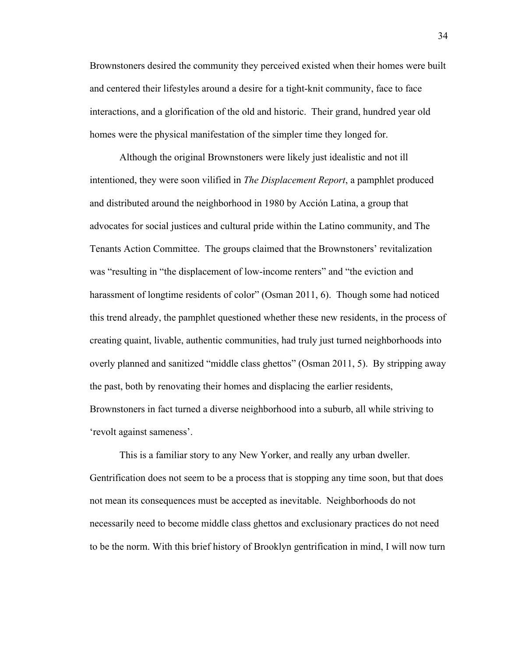Brownstoners desired the community they perceived existed when their homes were built and centered their lifestyles around a desire for a tight-knit community, face to face interactions, and a glorification of the old and historic. Their grand, hundred year old homes were the physical manifestation of the simpler time they longed for.

Although the original Brownstoners were likely just idealistic and not ill intentioned, they were soon vilified in *The Displacement Report*, a pamphlet produced and distributed around the neighborhood in 1980 by Acción Latina, a group that advocates for social justices and cultural pride within the Latino community, and The Tenants Action Committee. The groups claimed that the Brownstoners' revitalization was "resulting in "the displacement of low-income renters" and "the eviction and harassment of longtime residents of color" (Osman 2011, 6). Though some had noticed this trend already, the pamphlet questioned whether these new residents, in the process of creating quaint, livable, authentic communities, had truly just turned neighborhoods into overly planned and sanitized "middle class ghettos" (Osman 2011, 5). By stripping away the past, both by renovating their homes and displacing the earlier residents, Brownstoners in fact turned a diverse neighborhood into a suburb, all while striving to 'revolt against sameness'.

This is a familiar story to any New Yorker, and really any urban dweller. Gentrification does not seem to be a process that is stopping any time soon, but that does not mean its consequences must be accepted as inevitable. Neighborhoods do not necessarily need to become middle class ghettos and exclusionary practices do not need to be the norm. With this brief history of Brooklyn gentrification in mind, I will now turn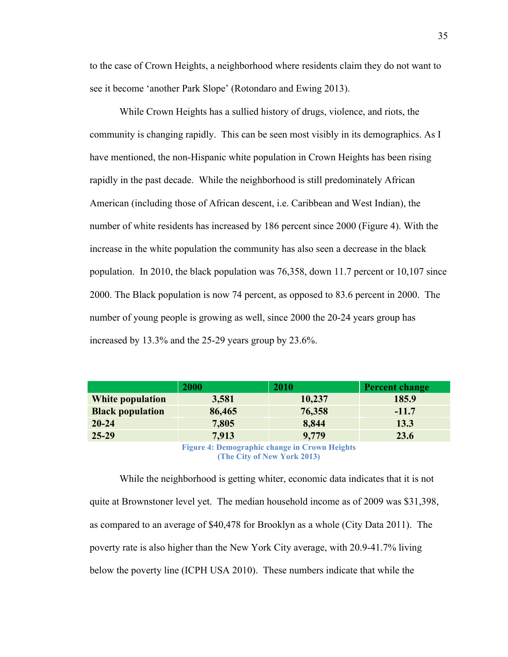to the case of Crown Heights, a neighborhood where residents claim they do not want to see it become 'another Park Slope' (Rotondaro and Ewing 2013).

While Crown Heights has a sullied history of drugs, violence, and riots, the community is changing rapidly. This can be seen most visibly in its demographics. As I have mentioned, the non-Hispanic white population in Crown Heights has been rising rapidly in the past decade. While the neighborhood is still predominately African American (including those of African descent, i.e. Caribbean and West Indian), the number of white residents has increased by 186 percent since 2000 (Figure 4). With the increase in the white population the community has also seen a decrease in the black population. In 2010, the black population was 76,358, down 11.7 percent or 10,107 since 2000. The Black population is now 74 percent, as opposed to 83.6 percent in 2000. The number of young people is growing as well, since 2000 the 20-24 years group has increased by 13.3% and the 25-29 years group by 23.6%.

|                         | 2000   | 2010   | <b>Percent change</b> |
|-------------------------|--------|--------|-----------------------|
| <b>White population</b> | 3,581  | 10,237 | 185.9                 |
| <b>Black population</b> | 86,465 | 76,358 | $-11.7$               |
| $20 - 24$               | 7,805  | 8,844  | 13.3                  |
| $25-29$                 | 7,913  | 9,779  | 23.6                  |
|                         | ___    | .      |                       |

**Figure 4: Demographic change in Crown Heights (The City of New York 2013)**

While the neighborhood is getting whiter, economic data indicates that it is not quite at Brownstoner level yet. The median household income as of 2009 was \$31,398, as compared to an average of \$40,478 for Brooklyn as a whole (City Data 2011). The poverty rate is also higher than the New York City average, with 20.9-41.7% living below the poverty line (ICPH USA 2010). These numbers indicate that while the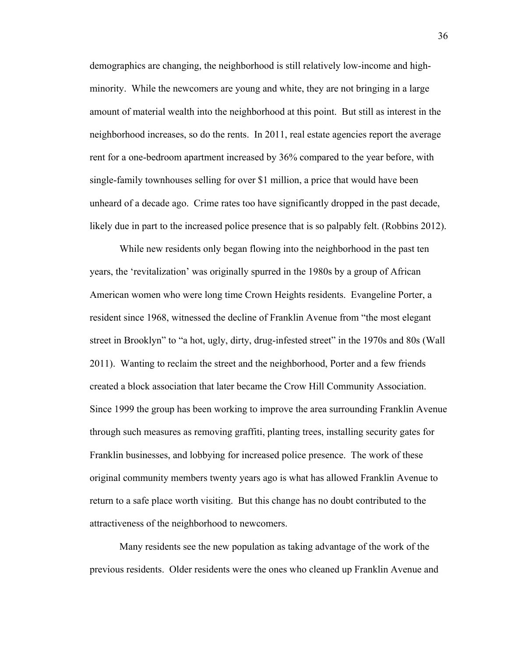demographics are changing, the neighborhood is still relatively low-income and highminority. While the newcomers are young and white, they are not bringing in a large amount of material wealth into the neighborhood at this point. But still as interest in the neighborhood increases, so do the rents. In 2011, real estate agencies report the average rent for a one-bedroom apartment increased by 36% compared to the year before, with single-family townhouses selling for over \$1 million, a price that would have been unheard of a decade ago. Crime rates too have significantly dropped in the past decade, likely due in part to the increased police presence that is so palpably felt. (Robbins 2012).

While new residents only began flowing into the neighborhood in the past ten years, the 'revitalization' was originally spurred in the 1980s by a group of African American women who were long time Crown Heights residents. Evangeline Porter, a resident since 1968, witnessed the decline of Franklin Avenue from "the most elegant street in Brooklyn" to "a hot, ugly, dirty, drug-infested street" in the 1970s and 80s (Wall 2011). Wanting to reclaim the street and the neighborhood, Porter and a few friends created a block association that later became the Crow Hill Community Association. Since 1999 the group has been working to improve the area surrounding Franklin Avenue through such measures as removing graffiti, planting trees, installing security gates for Franklin businesses, and lobbying for increased police presence. The work of these original community members twenty years ago is what has allowed Franklin Avenue to return to a safe place worth visiting. But this change has no doubt contributed to the attractiveness of the neighborhood to newcomers.

Many residents see the new population as taking advantage of the work of the previous residents. Older residents were the ones who cleaned up Franklin Avenue and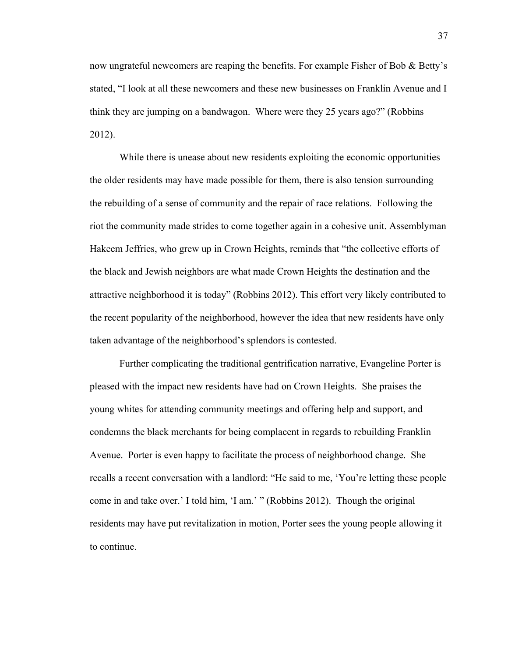now ungrateful newcomers are reaping the benefits. For example Fisher of Bob & Betty's stated, "I look at all these newcomers and these new businesses on Franklin Avenue and I think they are jumping on a bandwagon. Where were they 25 years ago?" (Robbins 2012).

While there is unease about new residents exploiting the economic opportunities the older residents may have made possible for them, there is also tension surrounding the rebuilding of a sense of community and the repair of race relations. Following the riot the community made strides to come together again in a cohesive unit. Assemblyman Hakeem Jeffries, who grew up in Crown Heights, reminds that "the collective efforts of the black and Jewish neighbors are what made Crown Heights the destination and the attractive neighborhood it is today" (Robbins 2012). This effort very likely contributed to the recent popularity of the neighborhood, however the idea that new residents have only taken advantage of the neighborhood's splendors is contested.

Further complicating the traditional gentrification narrative, Evangeline Porter is pleased with the impact new residents have had on Crown Heights. She praises the young whites for attending community meetings and offering help and support, and condemns the black merchants for being complacent in regards to rebuilding Franklin Avenue. Porter is even happy to facilitate the process of neighborhood change. She recalls a recent conversation with a landlord: "He said to me, 'You're letting these people come in and take over.' I told him, 'I am.' " (Robbins 2012). Though the original residents may have put revitalization in motion, Porter sees the young people allowing it to continue.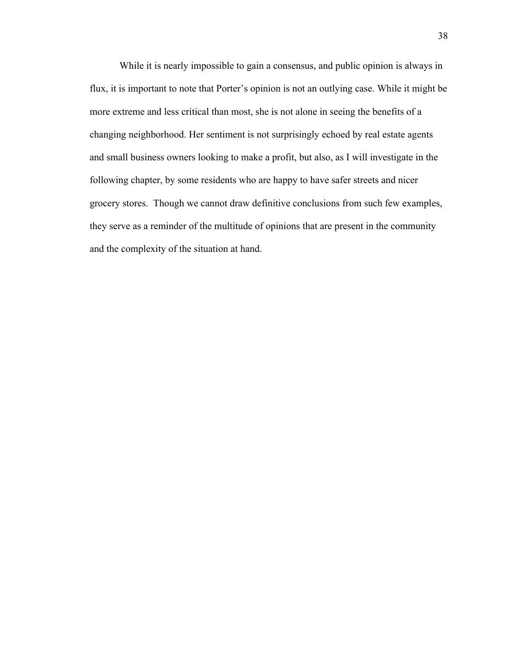While it is nearly impossible to gain a consensus, and public opinion is always in flux, it is important to note that Porter's opinion is not an outlying case. While it might be more extreme and less critical than most, she is not alone in seeing the benefits of a changing neighborhood. Her sentiment is not surprisingly echoed by real estate agents and small business owners looking to make a profit, but also, as I will investigate in the following chapter, by some residents who are happy to have safer streets and nicer grocery stores. Though we cannot draw definitive conclusions from such few examples, they serve as a reminder of the multitude of opinions that are present in the community and the complexity of the situation at hand.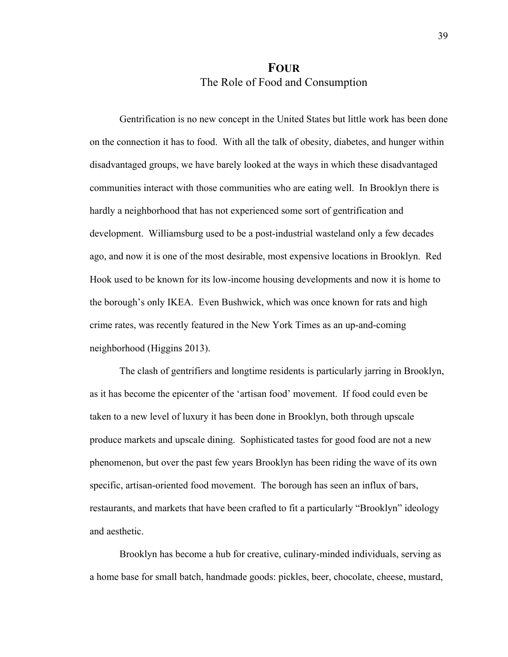## **FOUR** The Role of Food and Consumption

Gentrification is no new concept in the United States but little work has been done on the connection it has to food. With all the talk of obesity, diabetes, and hunger within disadvantaged groups, we have barely looked at the ways in which these disadvantaged communities interact with those communities who are eating well. In Brooklyn there is hardly a neighborhood that has not experienced some sort of gentrification and development. Williamsburg used to be a post-industrial wasteland only a few decades ago, and now it is one of the most desirable, most expensive locations in Brooklyn. Red Hook used to be known for its low-income housing developments and now it is home to the borough's only IKEA. Even Bushwick, which was once known for rats and high crime rates, was recently featured in the New York Times as an up-and-coming neighborhood (Higgins 2013).

The clash of gentrifiers and longtime residents is particularly jarring in Brooklyn, as it has become the epicenter of the 'artisan food' movement. If food could even be taken to a new level of luxury it has been done in Brooklyn, both through upscale produce markets and upscale dining. Sophisticated tastes for good food are not a new phenomenon, but over the past few years Brooklyn has been riding the wave of its own specific, artisan-oriented food movement. The borough has seen an influx of bars, restaurants, and markets that have been crafted to fit a particularly "Brooklyn" ideology and aesthetic.

Brooklyn has become a hub for creative, culinary-minded individuals, serving as a home base for small batch, handmade goods: pickles, beer, chocolate, cheese, mustard,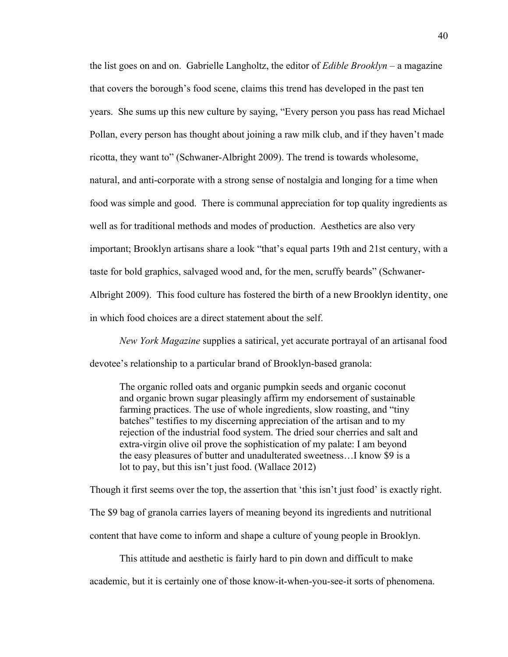the list goes on and on. Gabrielle Langholtz, the editor of *Edible Brooklyn* – a magazine that covers the borough's food scene, claims this trend has developed in the past ten years. She sums up this new culture by saying, "Every person you pass has read Michael Pollan, every person has thought about joining a raw milk club, and if they haven't made ricotta, they want to" (Schwaner-Albright 2009). The trend is towards wholesome, natural, and anti-corporate with a strong sense of nostalgia and longing for a time when food was simple and good. There is communal appreciation for top quality ingredients as well as for traditional methods and modes of production. Aesthetics are also very important; Brooklyn artisans share a look "that's equal parts 19th and 21st century, with a taste for bold graphics, salvaged wood and, for the men, scruffy beards" (Schwaner-Albright 2009). This food culture has fostered the birth of a new Brooklyn identity, one in which food choices are a direct statement about the self.

*New York Magazine* supplies a satirical, yet accurate portrayal of an artisanal food devotee's relationship to a particular brand of Brooklyn-based granola:

The organic rolled oats and organic pumpkin seeds and organic coconut and organic brown sugar pleasingly affirm my endorsement of sustainable farming practices. The use of whole ingredients, slow roasting, and "tiny batches" testifies to my discerning appreciation of the artisan and to my rejection of the industrial food system. The dried sour cherries and salt and extra-virgin olive oil prove the sophistication of my palate: I am beyond the easy pleasures of butter and unadulterated sweetness…I know \$9 is a lot to pay, but this isn't just food. (Wallace 2012)

Though it first seems over the top, the assertion that 'this isn't just food' is exactly right.

The \$9 bag of granola carries layers of meaning beyond its ingredients and nutritional

content that have come to inform and shape a culture of young people in Brooklyn.

This attitude and aesthetic is fairly hard to pin down and difficult to make

academic, but it is certainly one of those know-it-when-you-see-it sorts of phenomena.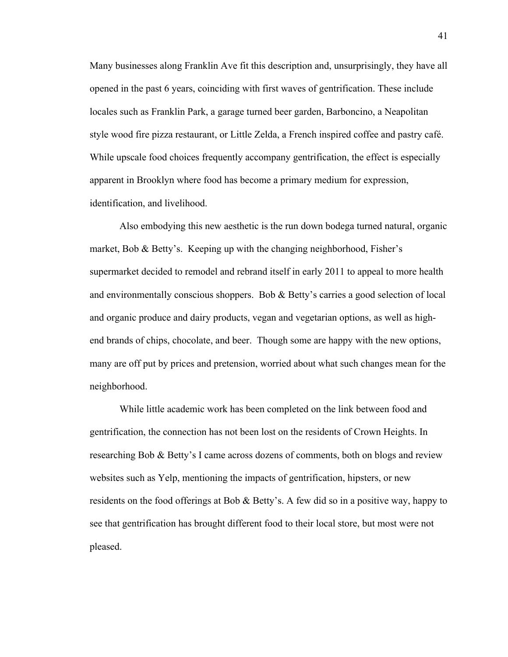Many businesses along Franklin Ave fit this description and, unsurprisingly, they have all opened in the past 6 years, coinciding with first waves of gentrification. These include locales such as Franklin Park, a garage turned beer garden, Barboncino, a Neapolitan style wood fire pizza restaurant, or Little Zelda, a French inspired coffee and pastry café. While upscale food choices frequently accompany gentrification, the effect is especially apparent in Brooklyn where food has become a primary medium for expression, identification, and livelihood.

Also embodying this new aesthetic is the run down bodega turned natural, organic market, Bob & Betty's. Keeping up with the changing neighborhood, Fisher's supermarket decided to remodel and rebrand itself in early 2011 to appeal to more health and environmentally conscious shoppers. Bob & Betty's carries a good selection of local and organic produce and dairy products, vegan and vegetarian options, as well as highend brands of chips, chocolate, and beer. Though some are happy with the new options, many are off put by prices and pretension, worried about what such changes mean for the neighborhood.

While little academic work has been completed on the link between food and gentrification, the connection has not been lost on the residents of Crown Heights. In researching Bob & Betty's I came across dozens of comments, both on blogs and review websites such as Yelp, mentioning the impacts of gentrification, hipsters, or new residents on the food offerings at Bob & Betty's. A few did so in a positive way, happy to see that gentrification has brought different food to their local store, but most were not pleased.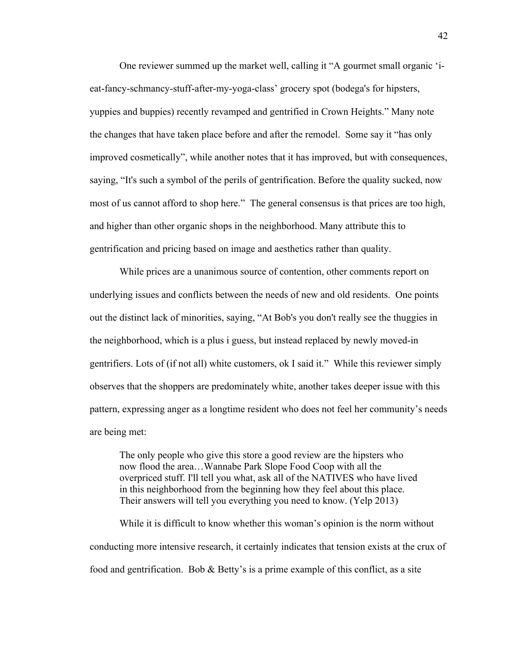One reviewer summed up the market well, calling it "A gourmet small organic 'ieat-fancy-schmancy-stuff-after-my-yoga-class' grocery spot (bodega's for hipsters, yuppies and buppies) recently revamped and gentrified in Crown Heights." Many note the changes that have taken place before and after the remodel. Some say it "has only improved cosmetically", while another notes that it has improved, but with consequences, saying, "It's such a symbol of the perils of gentrification. Before the quality sucked, now most of us cannot afford to shop here." The general consensus is that prices are too high, and higher than other organic shops in the neighborhood. Many attribute this to gentrification and pricing based on image and aesthetics rather than quality.

While prices are a unanimous source of contention, other comments report on underlying issues and conflicts between the needs of new and old residents. One points out the distinct lack of minorities, saying, "At Bob's you don't really see the thuggies in the neighborhood, which is a plus i guess, but instead replaced by newly moved-in gentrifiers. Lots of (if not all) white customers, ok I said it." While this reviewer simply observes that the shoppers are predominately white, another takes deeper issue with this pattern, expressing anger as a longtime resident who does not feel her community's needs are being met:

The only people who give this store a good review are the hipsters who now flood the area…Wannabe Park Slope Food Coop with all the overpriced stuff. I'll tell you what, ask all of the NATIVES who have lived in this neighborhood from the beginning how they feel about this place. Their answers will tell you everything you need to know. (Yelp 2013)

While it is difficult to know whether this woman's opinion is the norm without conducting more intensive research, it certainly indicates that tension exists at the crux of food and gentrification. Bob  $\&$  Betty's is a prime example of this conflict, as a site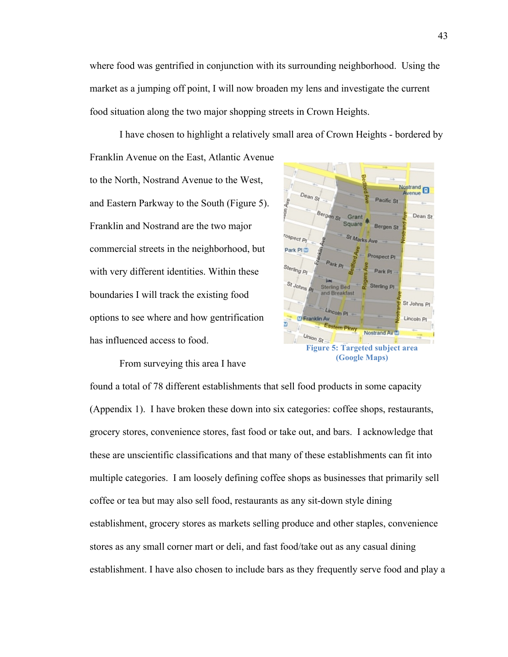where food was gentrified in conjunction with its surrounding neighborhood. Using the market as a jumping off point, I will now broaden my lens and investigate the current food situation along the two major shopping streets in Crown Heights.

I have chosen to highlight a relatively small area of Crown Heights - bordered by Franklin Avenue on the East, Atlantic Avenue to the North, Nostrand Avenue to the West, Nostrand  $D_{\text{max}}$ enue son Ave Pacific St and Eastern Parkway to the South (Figure 5). Bergan St Dean St Grant Square Franklin and Nostrand are the two major Bergen St r<sub>ospect Pl</sub> commercial streets in the neighborhood, but Park PLM spect Pr Sterling Pl with very different identities. Within these St Johns Sterling<sub>P</sub> boundaries I will track the existing food St Johns P Lincoln<sub>P</sub> options to see where and how gentrification **ID Franklin Av** 



(Appendix 1). I have broken these down into six categories: coffee shops, restaurants, grocery stores, convenience stores, fast food or take out, and bars. I acknowledge that these are unscientific classifications and that many of these establishments can fit into multiple categories. I am loosely defining coffee shops as businesses that primarily sell coffee or tea but may also sell food, restaurants as any sit-down style dining establishment, grocery stores as markets selling produce and other staples, convenience stores as any small corner mart or deli, and fast food/take out as any casual dining establishment. I have also chosen to include bars as they frequently serve food and play a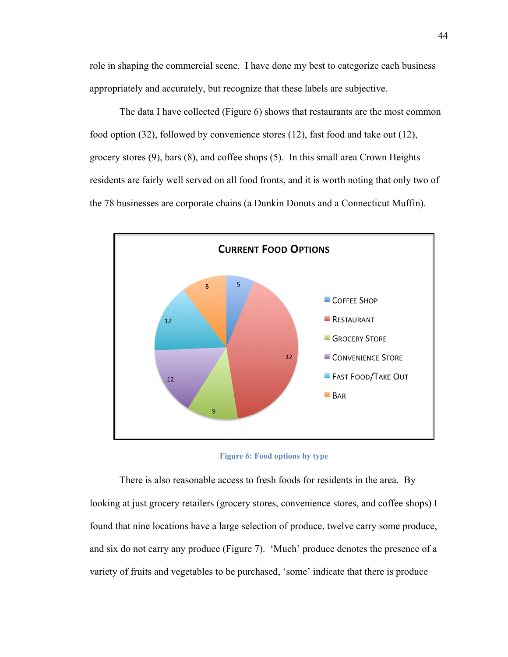role in shaping the commercial scene. I have done my best to categorize each business appropriately and accurately, but recognize that these labels are subjective.

The data I have collected (Figure 6) shows that restaurants are the most common food option (32), followed by convenience stores (12), fast food and take out (12), grocery stores (9), bars (8), and coffee shops (5). In this small area Crown Heights residents are fairly well served on all food fronts, and it is worth noting that only two of the 78 businesses are corporate chains (a Dunkin Donuts and a Connecticut Muffin).





There is also reasonable access to fresh foods for residents in the area. By looking at just grocery retailers (grocery stores, convenience stores, and coffee shops) I found that nine locations have a large selection of produce, twelve carry some produce, and six do not carry any produce (Figure 7). 'Much' produce denotes the presence of a variety of fruits and vegetables to be purchased, 'some' indicate that there is produce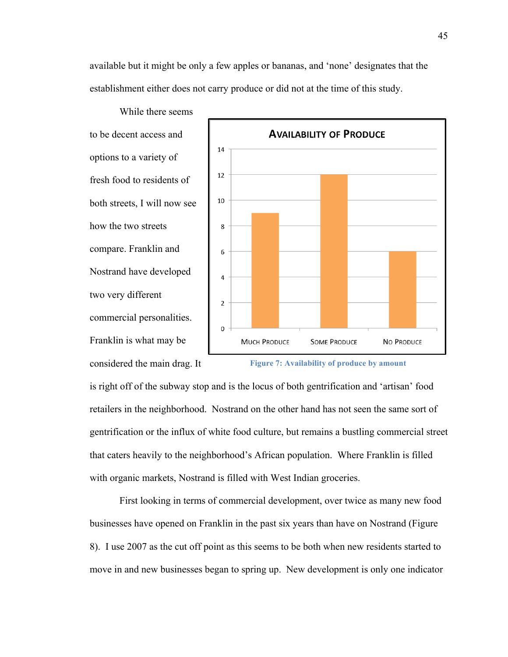available but it might be only a few apples or bananas, and 'none' designates that the establishment either does not carry produce or did not at the time of this study.

While there seems to be decent access and options to a variety of fresh food to residents of both streets, I will now see how the two streets compare. Franklin and Nostrand have developed two very different commercial personalities. Franklin is what may be considered the main drag. It



**Figure 7: Availability of produce by amount** 

is right off of the subway stop and is the locus of both gentrification and 'artisan' food retailers in the neighborhood. Nostrand on the other hand has not seen the same sort of gentrification or the influx of white food culture, but remains a bustling commercial street that caters heavily to the neighborhood's African population. Where Franklin is filled with organic markets, Nostrand is filled with West Indian groceries.

First looking in terms of commercial development, over twice as many new food businesses have opened on Franklin in the past six years than have on Nostrand (Figure 8). I use 2007 as the cut off point as this seems to be both when new residents started to move in and new businesses began to spring up. New development is only one indicator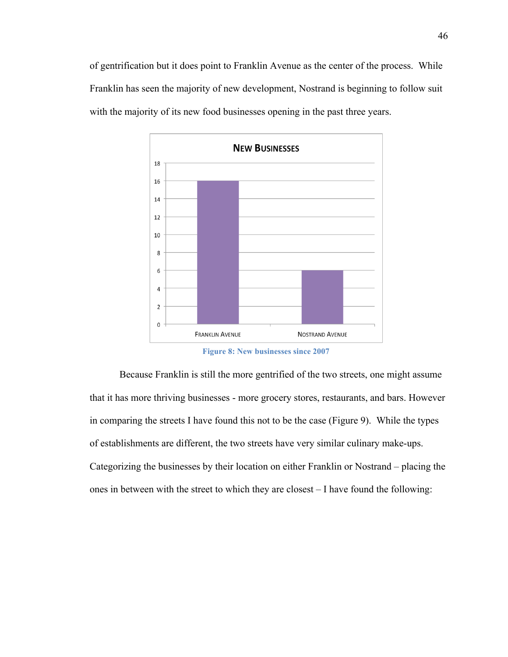of gentrification but it does point to Franklin Avenue as the center of the process. While Franklin has seen the majority of new development, Nostrand is beginning to follow suit with the majority of its new food businesses opening in the past three years.



**Figure 8: New businesses since 2007**

Because Franklin is still the more gentrified of the two streets, one might assume that it has more thriving businesses - more grocery stores, restaurants, and bars. However in comparing the streets I have found this not to be the case (Figure 9). While the types of establishments are different, the two streets have very similar culinary make-ups. Categorizing the businesses by their location on either Franklin or Nostrand – placing the ones in between with the street to which they are closest – I have found the following: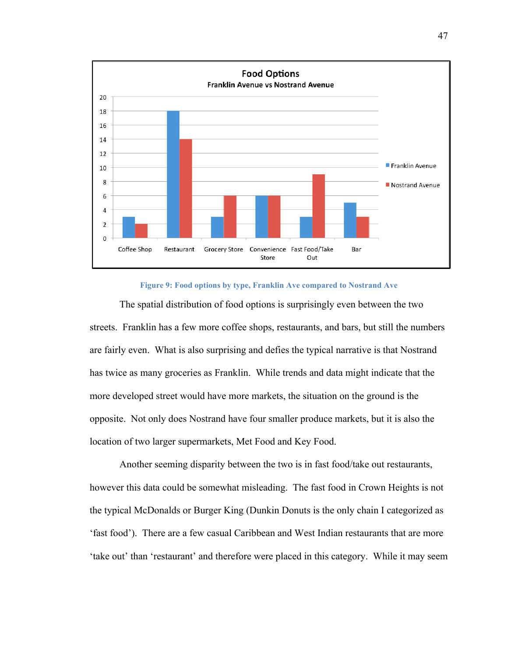

#### **Figure 9: Food options by type, Franklin Ave compared to Nostrand Ave**

The spatial distribution of food options is surprisingly even between the two streets. Franklin has a few more coffee shops, restaurants, and bars, but still the numbers are fairly even. What is also surprising and defies the typical narrative is that Nostrand has twice as many groceries as Franklin. While trends and data might indicate that the more developed street would have more markets, the situation on the ground is the opposite. Not only does Nostrand have four smaller produce markets, but it is also the location of two larger supermarkets, Met Food and Key Food.

Another seeming disparity between the two is in fast food/take out restaurants, however this data could be somewhat misleading. The fast food in Crown Heights is not the typical McDonalds or Burger King (Dunkin Donuts is the only chain I categorized as 'fast food'). There are a few casual Caribbean and West Indian restaurants that are more 'take out' than 'restaurant' and therefore were placed in this category. While it may seem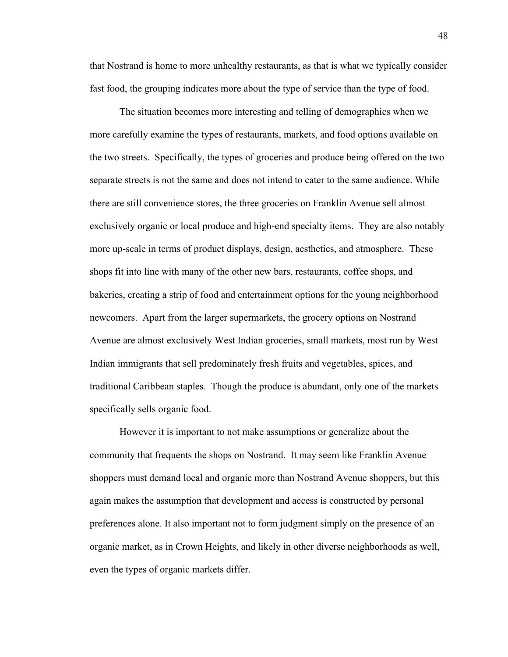that Nostrand is home to more unhealthy restaurants, as that is what we typically consider fast food, the grouping indicates more about the type of service than the type of food.

The situation becomes more interesting and telling of demographics when we more carefully examine the types of restaurants, markets, and food options available on the two streets. Specifically, the types of groceries and produce being offered on the two separate streets is not the same and does not intend to cater to the same audience. While there are still convenience stores, the three groceries on Franklin Avenue sell almost exclusively organic or local produce and high-end specialty items. They are also notably more up-scale in terms of product displays, design, aesthetics, and atmosphere. These shops fit into line with many of the other new bars, restaurants, coffee shops, and bakeries, creating a strip of food and entertainment options for the young neighborhood newcomers. Apart from the larger supermarkets, the grocery options on Nostrand Avenue are almost exclusively West Indian groceries, small markets, most run by West Indian immigrants that sell predominately fresh fruits and vegetables, spices, and traditional Caribbean staples. Though the produce is abundant, only one of the markets specifically sells organic food.

However it is important to not make assumptions or generalize about the community that frequents the shops on Nostrand. It may seem like Franklin Avenue shoppers must demand local and organic more than Nostrand Avenue shoppers, but this again makes the assumption that development and access is constructed by personal preferences alone. It also important not to form judgment simply on the presence of an organic market, as in Crown Heights, and likely in other diverse neighborhoods as well, even the types of organic markets differ.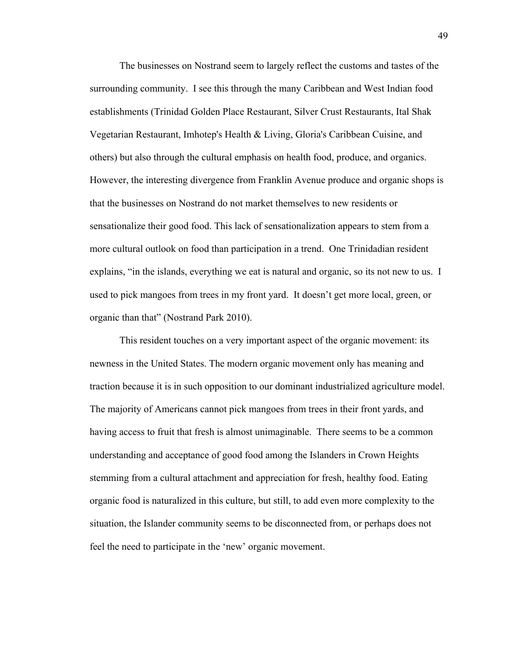The businesses on Nostrand seem to largely reflect the customs and tastes of the surrounding community. I see this through the many Caribbean and West Indian food establishments (Trinidad Golden Place Restaurant, Silver Crust Restaurants, Ital Shak Vegetarian Restaurant, Imhotep's Health & Living, Gloria's Caribbean Cuisine, and others) but also through the cultural emphasis on health food, produce, and organics. However, the interesting divergence from Franklin Avenue produce and organic shops is that the businesses on Nostrand do not market themselves to new residents or sensationalize their good food. This lack of sensationalization appears to stem from a more cultural outlook on food than participation in a trend. One Trinidadian resident explains, "in the islands, everything we eat is natural and organic, so its not new to us. I used to pick mangoes from trees in my front yard. It doesn't get more local, green, or organic than that" (Nostrand Park 2010).

This resident touches on a very important aspect of the organic movement: its newness in the United States. The modern organic movement only has meaning and traction because it is in such opposition to our dominant industrialized agriculture model. The majority of Americans cannot pick mangoes from trees in their front yards, and having access to fruit that fresh is almost unimaginable. There seems to be a common understanding and acceptance of good food among the Islanders in Crown Heights stemming from a cultural attachment and appreciation for fresh, healthy food. Eating organic food is naturalized in this culture, but still, to add even more complexity to the situation, the Islander community seems to be disconnected from, or perhaps does not feel the need to participate in the 'new' organic movement.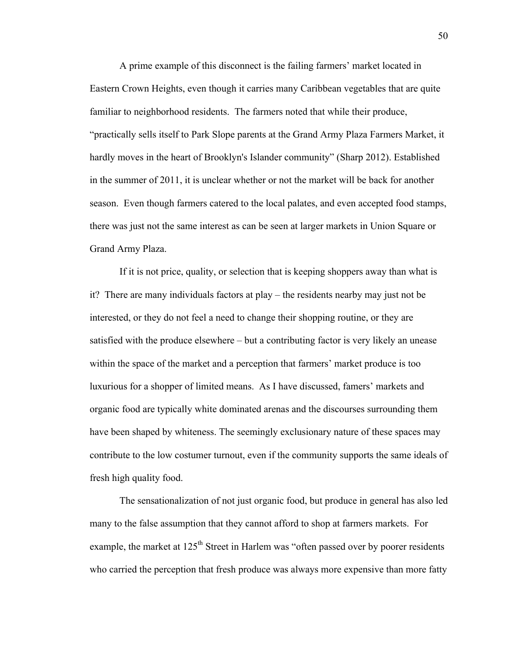A prime example of this disconnect is the failing farmers' market located in Eastern Crown Heights, even though it carries many Caribbean vegetables that are quite familiar to neighborhood residents. The farmers noted that while their produce, "practically sells itself to Park Slope parents at the Grand Army Plaza Farmers Market, it hardly moves in the heart of Brooklyn's Islander community" (Sharp 2012). Established in the summer of 2011, it is unclear whether or not the market will be back for another season. Even though farmers catered to the local palates, and even accepted food stamps, there was just not the same interest as can be seen at larger markets in Union Square or Grand Army Plaza.

If it is not price, quality, or selection that is keeping shoppers away than what is it? There are many individuals factors at play – the residents nearby may just not be interested, or they do not feel a need to change their shopping routine, or they are satisfied with the produce elsewhere – but a contributing factor is very likely an unease within the space of the market and a perception that farmers' market produce is too luxurious for a shopper of limited means. As I have discussed, famers' markets and organic food are typically white dominated arenas and the discourses surrounding them have been shaped by whiteness. The seemingly exclusionary nature of these spaces may contribute to the low costumer turnout, even if the community supports the same ideals of fresh high quality food.

The sensationalization of not just organic food, but produce in general has also led many to the false assumption that they cannot afford to shop at farmers markets. For example, the market at 125<sup>th</sup> Street in Harlem was "often passed over by poorer residents who carried the perception that fresh produce was always more expensive than more fatty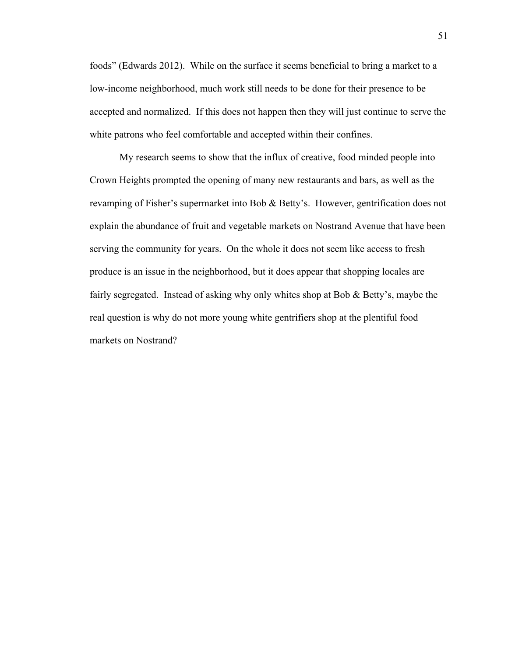foods" (Edwards 2012). While on the surface it seems beneficial to bring a market to a low-income neighborhood, much work still needs to be done for their presence to be accepted and normalized. If this does not happen then they will just continue to serve the white patrons who feel comfortable and accepted within their confines.

My research seems to show that the influx of creative, food minded people into Crown Heights prompted the opening of many new restaurants and bars, as well as the revamping of Fisher's supermarket into Bob & Betty's. However, gentrification does not explain the abundance of fruit and vegetable markets on Nostrand Avenue that have been serving the community for years. On the whole it does not seem like access to fresh produce is an issue in the neighborhood, but it does appear that shopping locales are fairly segregated. Instead of asking why only whites shop at Bob & Betty's, maybe the real question is why do not more young white gentrifiers shop at the plentiful food markets on Nostrand?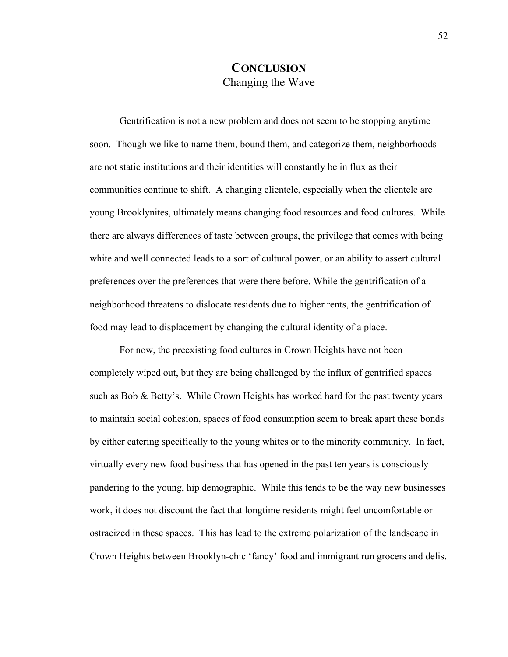#### **CONCLUSION** Changing the Wave

Gentrification is not a new problem and does not seem to be stopping anytime soon. Though we like to name them, bound them, and categorize them, neighborhoods are not static institutions and their identities will constantly be in flux as their communities continue to shift. A changing clientele, especially when the clientele are young Brooklynites, ultimately means changing food resources and food cultures. While there are always differences of taste between groups, the privilege that comes with being white and well connected leads to a sort of cultural power, or an ability to assert cultural preferences over the preferences that were there before. While the gentrification of a neighborhood threatens to dislocate residents due to higher rents, the gentrification of food may lead to displacement by changing the cultural identity of a place.

For now, the preexisting food cultures in Crown Heights have not been completely wiped out, but they are being challenged by the influx of gentrified spaces such as Bob & Betty's. While Crown Heights has worked hard for the past twenty years to maintain social cohesion, spaces of food consumption seem to break apart these bonds by either catering specifically to the young whites or to the minority community. In fact, virtually every new food business that has opened in the past ten years is consciously pandering to the young, hip demographic. While this tends to be the way new businesses work, it does not discount the fact that longtime residents might feel uncomfortable or ostracized in these spaces. This has lead to the extreme polarization of the landscape in Crown Heights between Brooklyn-chic 'fancy' food and immigrant run grocers and delis.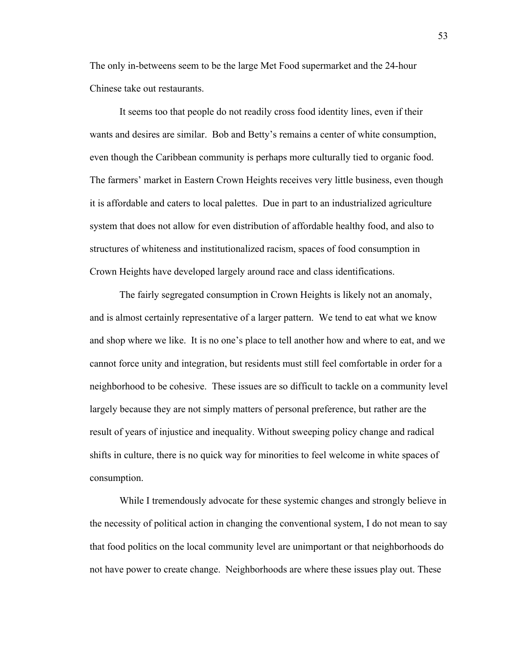The only in-betweens seem to be the large Met Food supermarket and the 24-hour Chinese take out restaurants.

It seems too that people do not readily cross food identity lines, even if their wants and desires are similar. Bob and Betty's remains a center of white consumption, even though the Caribbean community is perhaps more culturally tied to organic food. The farmers' market in Eastern Crown Heights receives very little business, even though it is affordable and caters to local palettes. Due in part to an industrialized agriculture system that does not allow for even distribution of affordable healthy food, and also to structures of whiteness and institutionalized racism, spaces of food consumption in Crown Heights have developed largely around race and class identifications.

The fairly segregated consumption in Crown Heights is likely not an anomaly, and is almost certainly representative of a larger pattern. We tend to eat what we know and shop where we like. It is no one's place to tell another how and where to eat, and we cannot force unity and integration, but residents must still feel comfortable in order for a neighborhood to be cohesive. These issues are so difficult to tackle on a community level largely because they are not simply matters of personal preference, but rather are the result of years of injustice and inequality. Without sweeping policy change and radical shifts in culture, there is no quick way for minorities to feel welcome in white spaces of consumption.

While I tremendously advocate for these systemic changes and strongly believe in the necessity of political action in changing the conventional system, I do not mean to say that food politics on the local community level are unimportant or that neighborhoods do not have power to create change. Neighborhoods are where these issues play out. These

53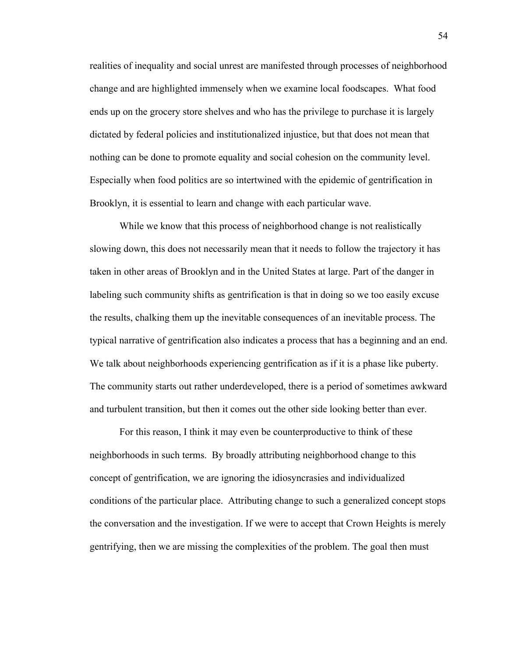realities of inequality and social unrest are manifested through processes of neighborhood change and are highlighted immensely when we examine local foodscapes. What food ends up on the grocery store shelves and who has the privilege to purchase it is largely dictated by federal policies and institutionalized injustice, but that does not mean that nothing can be done to promote equality and social cohesion on the community level. Especially when food politics are so intertwined with the epidemic of gentrification in Brooklyn, it is essential to learn and change with each particular wave.

While we know that this process of neighborhood change is not realistically slowing down, this does not necessarily mean that it needs to follow the trajectory it has taken in other areas of Brooklyn and in the United States at large. Part of the danger in labeling such community shifts as gentrification is that in doing so we too easily excuse the results, chalking them up the inevitable consequences of an inevitable process. The typical narrative of gentrification also indicates a process that has a beginning and an end. We talk about neighborhoods experiencing gentrification as if it is a phase like puberty. The community starts out rather underdeveloped, there is a period of sometimes awkward and turbulent transition, but then it comes out the other side looking better than ever.

For this reason, I think it may even be counterproductive to think of these neighborhoods in such terms. By broadly attributing neighborhood change to this concept of gentrification, we are ignoring the idiosyncrasies and individualized conditions of the particular place. Attributing change to such a generalized concept stops the conversation and the investigation. If we were to accept that Crown Heights is merely gentrifying, then we are missing the complexities of the problem. The goal then must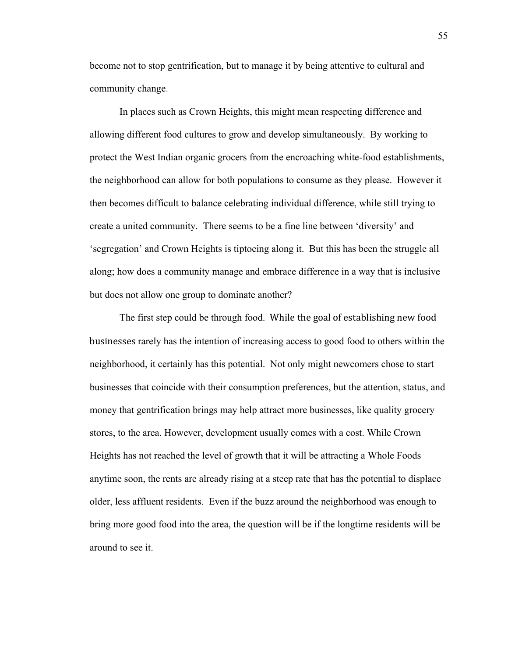become not to stop gentrification, but to manage it by being attentive to cultural and community change.

In places such as Crown Heights, this might mean respecting difference and allowing different food cultures to grow and develop simultaneously. By working to protect the West Indian organic grocers from the encroaching white-food establishments, the neighborhood can allow for both populations to consume as they please. However it then becomes difficult to balance celebrating individual difference, while still trying to create a united community. There seems to be a fine line between 'diversity' and 'segregation' and Crown Heights is tiptoeing along it. But this has been the struggle all along; how does a community manage and embrace difference in a way that is inclusive but does not allow one group to dominate another?

The first step could be through food. While the goal of establishing new food businesses rarely has the intention of increasing access to good food to others within the neighborhood, it certainly has this potential. Not only might newcomers chose to start businesses that coincide with their consumption preferences, but the attention, status, and money that gentrification brings may help attract more businesses, like quality grocery stores, to the area. However, development usually comes with a cost. While Crown Heights has not reached the level of growth that it will be attracting a Whole Foods anytime soon, the rents are already rising at a steep rate that has the potential to displace older, less affluent residents. Even if the buzz around the neighborhood was enough to bring more good food into the area, the question will be if the longtime residents will be around to see it.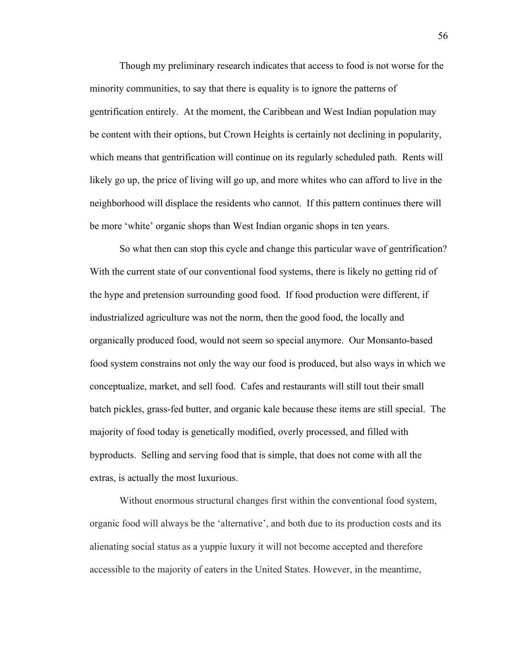Though my preliminary research indicates that access to food is not worse for the minority communities, to say that there is equality is to ignore the patterns of gentrification entirely. At the moment, the Caribbean and West Indian population may be content with their options, but Crown Heights is certainly not declining in popularity, which means that gentrification will continue on its regularly scheduled path. Rents will likely go up, the price of living will go up, and more whites who can afford to live in the neighborhood will displace the residents who cannot. If this pattern continues there will be more 'white' organic shops than West Indian organic shops in ten years.

So what then can stop this cycle and change this particular wave of gentrification? With the current state of our conventional food systems, there is likely no getting rid of the hype and pretension surrounding good food. If food production were different, if industrialized agriculture was not the norm, then the good food, the locally and organically produced food, would not seem so special anymore. Our Monsanto-based food system constrains not only the way our food is produced, but also ways in which we conceptualize, market, and sell food. Cafes and restaurants will still tout their small batch pickles, grass-fed butter, and organic kale because these items are still special. The majority of food today is genetically modified, overly processed, and filled with byproducts. Selling and serving food that is simple, that does not come with all the extras, is actually the most luxurious.

Without enormous structural changes first within the conventional food system, organic food will always be the 'alternative', and both due to its production costs and its alienating social status as a yuppie luxury it will not become accepted and therefore accessible to the majority of eaters in the United States. However, in the meantime,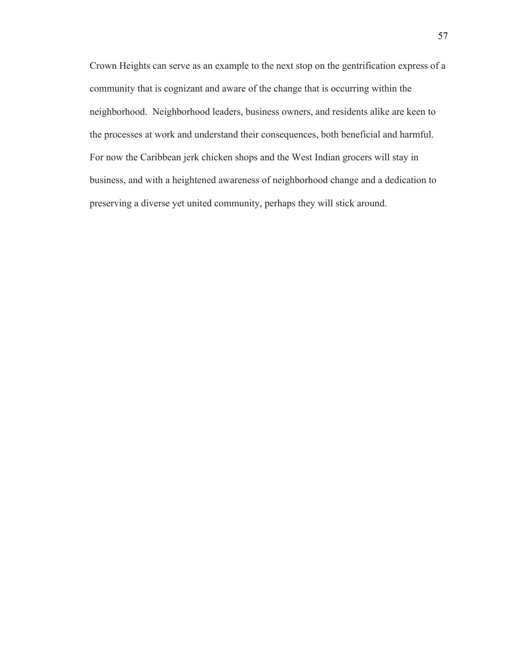Crown Heights can serve as an example to the next stop on the gentrification express of a community that is cognizant and aware of the change that is occurring within the neighborhood. Neighborhood leaders, business owners, and residents alike are keen to the processes at work and understand their consequences, both beneficial and harmful. For now the Caribbean jerk chicken shops and the West Indian grocers will stay in business, and with a heightened awareness of neighborhood change and a dedication to preserving a diverse yet united community, perhaps they will stick around.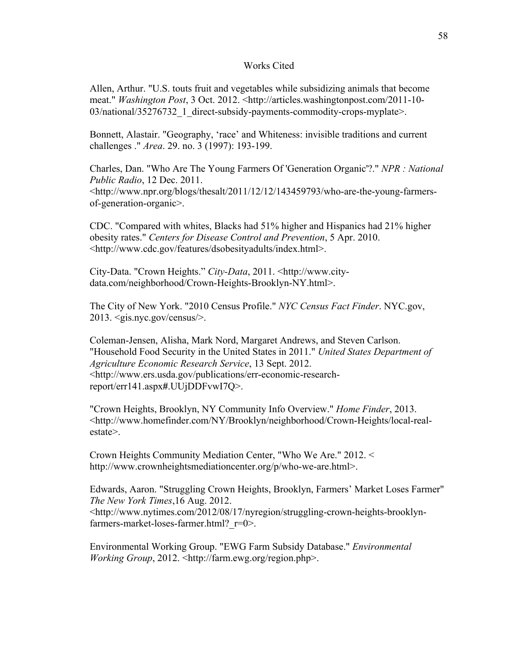#### Works Cited

Allen, Arthur. "U.S. touts fruit and vegetables while subsidizing animals that become meat." *Washington Post*, 3 Oct. 2012. <http://articles.washingtonpost.com/2011-10- 03/national/35276732\_1\_direct-subsidy-payments-commodity-crops-myplate>.

Bonnett, Alastair. "Geography, 'race' and Whiteness: invisible traditions and current challenges ." *Area*. 29. no. 3 (1997): 193-199.

Charles, Dan. "Who Are The Young Farmers Of 'Generation Organic'?." *NPR : National Public Radio*, 12 Dec. 2011. <http://www.npr.org/blogs/thesalt/2011/12/12/143459793/who-are-the-young-farmersof-generation-organic>.

CDC. "Compared with whites, Blacks had 51% higher and Hispanics had 21% higher obesity rates." *Centers for Disease Control and Prevention*, 5 Apr. 2010. <http://www.cdc.gov/features/dsobesityadults/index.html>.

City-Data. "Crown Heights." *City-Data*, 2011. <http://www.citydata.com/neighborhood/Crown-Heights-Brooklyn-NY.html>.

The City of New York. "2010 Census Profile." *NYC Census Fact Finder*. NYC.gov, 2013. <gis.nyc.gov/census/>.

Coleman-Jensen, Alisha, Mark Nord, Margaret Andrews, and Steven Carlson. "Household Food Security in the United States in 2011." *United States Department of Agriculture Economic Research Service*, 13 Sept. 2012. <http://www.ers.usda.gov/publications/err-economic-researchreport/err141.aspx**#**.UUjDDFvwI7Q>.

"Crown Heights, Brooklyn, NY Community Info Overview." *Home Finder*, 2013. <http://www.homefinder.com/NY/Brooklyn/neighborhood/Crown-Heights/local-realestate>.

Crown Heights Community Mediation Center, "Who We Are." 2012. < http://www.crownheightsmediationcenter.org/p/who-we-are.html>.

Edwards, Aaron. "Struggling Crown Heights, Brooklyn, Farmers' Market Loses Farmer" *The New York Times*,16 Aug. 2012. <http://www.nytimes.com/2012/08/17/nyregion/struggling-crown-heights-brooklynfarmers-market-loses-farmer.html? r=0>.

Environmental Working Group. "EWG Farm Subsidy Database." *Environmental Working Group*, 2012. <http://farm.ewg.org/region.php>.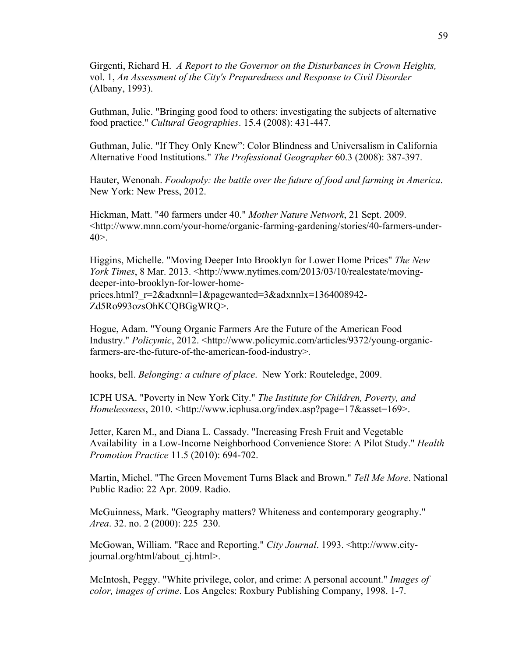Girgenti, Richard H. *A Report to the Governor on the Disturbances in Crown Heights,* vol. 1, *An Assessment of the City's Preparedness and Response to Civil Disorder* (Albany, 1993).

Guthman, Julie. "Bringing good food to others: investigating the subjects of alternative food practice." *Cultural Geographies*. 15.4 (2008): 431-447.

Guthman, Julie. "If They Only Knew": Color Blindness and Universalism in California Alternative Food Institutions." *The Professional Geographer* 60.3 (2008): 387-397.

Hauter, Wenonah. *Foodopoly: the battle over the future of food and farming in America*. New York: New Press, 2012.

Hickman, Matt. "40 farmers under 40." *Mother Nature Network*, 21 Sept. 2009. <http://www.mnn.com/your-home/organic-farming-gardening/stories/40-farmers-under- $40$ .

Higgins, Michelle. "Moving Deeper Into Brooklyn for Lower Home Prices" *The New York Times*, 8 Mar. 2013. <http://www.nytimes.com/2013/03/10/realestate/movingdeeper-into-brooklyn-for-lower-homeprices.html? r=2&adxnnl=1&pagewanted=3&adxnnlx=1364008942-Zd5Ro993ozsOhKCQBGgWRQ>.

Hogue, Adam. "Young Organic Farmers Are the Future of the American Food Industry." *Policymic*, 2012. <http://www.policymic.com/articles/9372/young-organicfarmers-are-the-future-of-the-american-food-industry>.

hooks, bell. *Belonging: a culture of place*. New York: Routeledge, 2009.

ICPH USA. "Poverty in New York City." *The Institute for Children, Poverty, and Homelessness*, 2010. <http://www.icphusa.org/index.asp?page=17&asset=169>.

Jetter, Karen M., and Diana L. Cassady. "Increasing Fresh Fruit and Vegetable Availability in a Low-Income Neighborhood Convenience Store: A Pilot Study." *Health Promotion Practice* 11.5 (2010): 694-702.

Martin, Michel. "The Green Movement Turns Black and Brown." *Tell Me More*. National Public Radio: 22 Apr. 2009. Radio.

McGuinness, Mark. "Geography matters? Whiteness and contemporary geography." *Area*. 32. no. 2 (2000): 225–230.

McGowan, William. "Race and Reporting." *City Journal*. 1993. <http://www.cityjournal.org/html/about\_cj.html>.

McIntosh, Peggy. "White privilege, color, and crime: A personal account." *Images of color, images of crime*. Los Angeles: Roxbury Publishing Company, 1998. 1-7.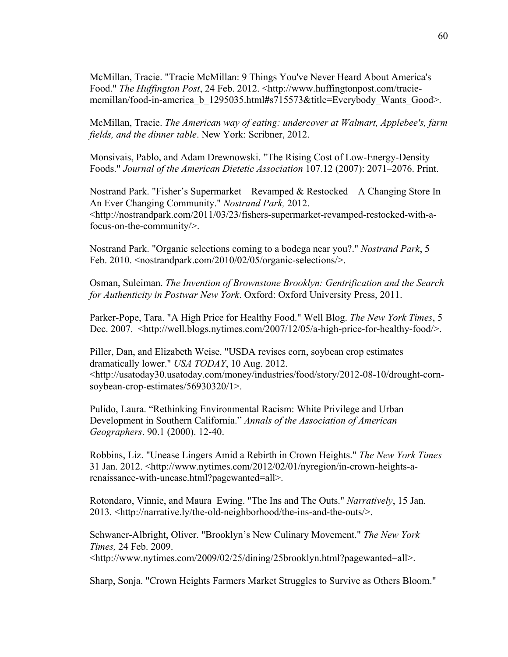McMillan, Tracie. "Tracie McMillan: 9 Things You've Never Heard About America's Food." *The Huffington Post*, 24 Feb. 2012. <http://www.huffingtonpost.com/traciemcmillan/food-in-america\_b\_1295035.html**#**s715573&title=Everybody\_Wants\_Good>.

McMillan, Tracie. *The American way of eating: undercover at Walmart, Applebee's, farm fields, and the dinner table*. New York: Scribner, 2012.

Monsivais, Pablo, and Adam Drewnowski. "The Rising Cost of Low-Energy-Density Foods." *Journal of the American Dietetic Association* 107.12 (2007): 2071–2076. Print.

Nostrand Park. "Fisher's Supermarket – Revamped & Restocked – A Changing Store In An Ever Changing Community." *Nostrand Park,* 2012. <http://nostrandpark.com/2011/03/23/fishers-supermarket-revamped-restocked-with-afocus-on-the-community/>.

Nostrand Park. "Organic selections coming to a bodega near you?." *Nostrand Park*, 5 Feb. 2010. < nostrandpark.com/2010/02/05/organic-selections/>.

Osman, Suleiman. *The Invention of Brownstone Brooklyn: Gentrification and the Search for Authenticity in Postwar New York*. Oxford: Oxford University Press, 2011.

Parker-Pope, Tara. "A High Price for Healthy Food." Well Blog. *The New York Times*, 5 Dec. 2007. <http://well.blogs.nytimes.com/2007/12/05/a-high-price-for-healthy-food/>.

Piller, Dan, and Elizabeth Weise. "USDA revises corn, soybean crop estimates dramatically lower." *USA TODAY*, 10 Aug. 2012. <http://usatoday30.usatoday.com/money/industries/food/story/2012-08-10/drought-cornsoybean-crop-estimates/56930320/1>.

Pulido, Laura. "Rethinking Environmental Racism: White Privilege and Urban Development in Southern California." *Annals of the Association of American Geographers*. 90.1 (2000). 12-40.

Robbins, Liz. "Unease Lingers Amid a Rebirth in Crown Heights." *The New York Times* 31 Jan. 2012. <http://www.nytimes.com/2012/02/01/nyregion/in-crown-heights-arenaissance-with-unease.html?pagewanted=all>.

Rotondaro, Vinnie, and Maura Ewing. "The Ins and The Outs." *Narratively*, 15 Jan. 2013. <http://narrative.ly/the-old-neighborhood/the-ins-and-the-outs/>.

Schwaner-Albright, Oliver. "Brooklyn's New Culinary Movement." *The New York Times,* 24 Feb. 2009. <http://www.nytimes.com/2009/02/25/dining/25brooklyn.html?pagewanted=all>.

Sharp, Sonja. "Crown Heights Farmers Market Struggles to Survive as Others Bloom."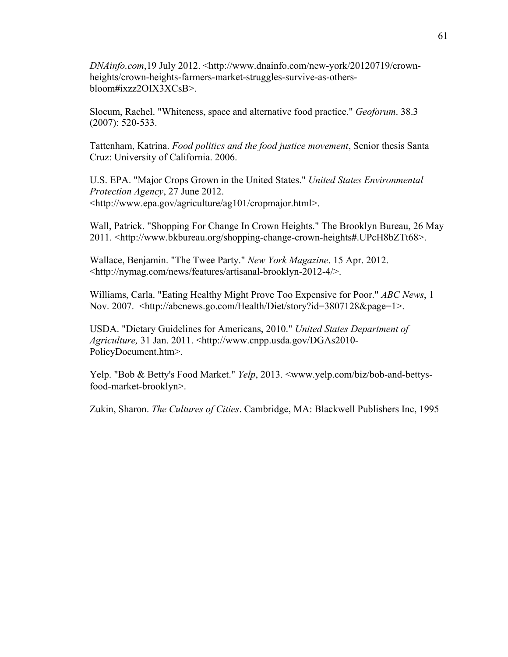*DNAinfo.com*,19 July 2012. <http://www.dnainfo.com/new-york/20120719/crownheights/crown-heights-farmers-market-struggles-survive-as-othersbloom**#**ixzz2OIX3XCsB>.

Slocum, Rachel. "Whiteness, space and alternative food practice." *Geoforum*. 38.3 (2007): 520-533.

Tattenham, Katrina. *Food politics and the food justice movement*, Senior thesis Santa Cruz: University of California. 2006.

U.S. EPA. "Major Crops Grown in the United States." *United States Environmental Protection Agency*, 27 June 2012. <http://www.epa.gov/agriculture/ag101/cropmajor.html>.

Wall, Patrick. "Shopping For Change In Crown Heights." The Brooklyn Bureau, 26 May 2011. <http://www.bkbureau.org/shopping-change-crown-heights**#**.UPcH8bZTt68>.

Wallace, Benjamin. "The Twee Party." *New York Magazine*. 15 Apr. 2012. <http://nymag.com/news/features/artisanal-brooklyn-2012-4/>.

Williams, Carla. "Eating Healthy Might Prove Too Expensive for Poor." *ABC News*, 1 Nov. 2007. <http://abcnews.go.com/Health/Diet/story?id=3807128&page=1>.

USDA. "Dietary Guidelines for Americans, 2010." *United States Department of Agriculture,* 31 Jan. 2011. <http://www.cnpp.usda.gov/DGAs2010- PolicyDocument.htm>.

Yelp. "Bob & Betty's Food Market." *Yelp*, 2013. <www.yelp.com/biz/bob-and-bettysfood-market-brooklyn>.

Zukin, Sharon. *The Cultures of Cities*. Cambridge, MA: Blackwell Publishers Inc, 1995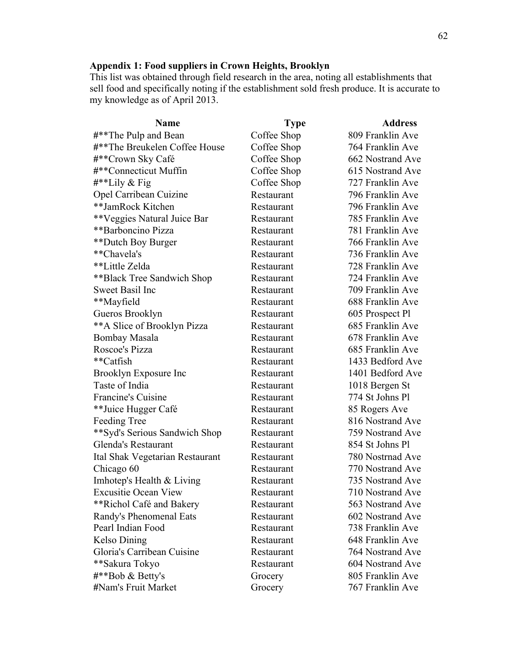#### **Appendix 1: Food suppliers in Crown Heights, Brooklyn**

This list was obtained through field research in the area, noting all establishments that sell food and specifically noting if the establishment sold fresh produce. It is accurate to my knowledge as of April 2013.

| <b>Name</b>                     | <b>Type</b> | <b>Address</b>   |
|---------------------------------|-------------|------------------|
| #**The Pulp and Bean            | Coffee Shop | 809 Franklin Ave |
| #**The Breukelen Coffee House   | Coffee Shop | 764 Franklin Ave |
| #**Crown Sky Café               | Coffee Shop | 662 Nostrand Ave |
| #**Connecticut Muffin           | Coffee Shop | 615 Nostrand Ave |
| $\#^{**}$ Lily & Fig            | Coffee Shop | 727 Franklin Ave |
| Opel Carribean Cuizine          | Restaurant  | 796 Franklin Ave |
| **JamRock Kitchen               | Restaurant  | 796 Franklin Ave |
| **Veggies Natural Juice Bar     | Restaurant  | 785 Franklin Ave |
| **Barboncino Pizza              | Restaurant  | 781 Franklin Ave |
| **Dutch Boy Burger              | Restaurant  | 766 Franklin Ave |
| **Chavela's                     | Restaurant  | 736 Franklin Ave |
| **Little Zelda                  | Restaurant  | 728 Franklin Ave |
| ** Black Tree Sandwich Shop     | Restaurant  | 724 Franklin Ave |
| <b>Sweet Basil Inc</b>          | Restaurant  | 709 Franklin Ave |
| **Mayfield                      | Restaurant  | 688 Franklin Ave |
| Gueros Brooklyn                 | Restaurant  | 605 Prospect Pl  |
| ** A Slice of Brooklyn Pizza    | Restaurant  | 685 Franklin Ave |
| Bombay Masala                   | Restaurant  | 678 Franklin Ave |
| Roscoe's Pizza                  | Restaurant  | 685 Franklin Ave |
| **Catfish                       | Restaurant  | 1433 Bedford Ave |
| Brooklyn Exposure Inc           | Restaurant  | 1401 Bedford Ave |
| Taste of India                  | Restaurant  | 1018 Bergen St   |
| Francine's Cuisine              | Restaurant  | 774 St Johns Pl  |
| **Juice Hugger Café             | Restaurant  | 85 Rogers Ave    |
| Feeding Tree                    | Restaurant  | 816 Nostrand Ave |
| **Syd's Serious Sandwich Shop   | Restaurant  | 759 Nostrand Ave |
| Glenda's Restaurant             | Restaurant  | 854 St Johns Pl  |
| Ital Shak Vegetarian Restaurant | Restaurant  | 780 Nostrnad Ave |
| Chicago 60                      | Restaurant  | 770 Nostrand Ave |
| Imhotep's Health & Living       | Restaurant  | 735 Nostrand Ave |
| <b>Excusitie Ocean View</b>     | Restaurant  | 710 Nostrand Ave |
| **Richol Café and Bakery        | Restaurant  | 563 Nostrand Ave |
| Randy's Phenomenal Eats         | Restaurant  | 602 Nostrand Ave |
| Pearl Indian Food               | Restaurant  | 738 Franklin Ave |
| Kelso Dining                    | Restaurant  | 648 Franklin Ave |
| Gloria's Carribean Cuisine      | Restaurant  | 764 Nostrand Ave |
| **Sakura Tokyo                  | Restaurant  | 604 Nostrand Ave |
| #**Bob & Betty's                | Grocery     | 805 Franklin Ave |
| #Nam's Fruit Market             | Grocery     | 767 Franklin Ave |